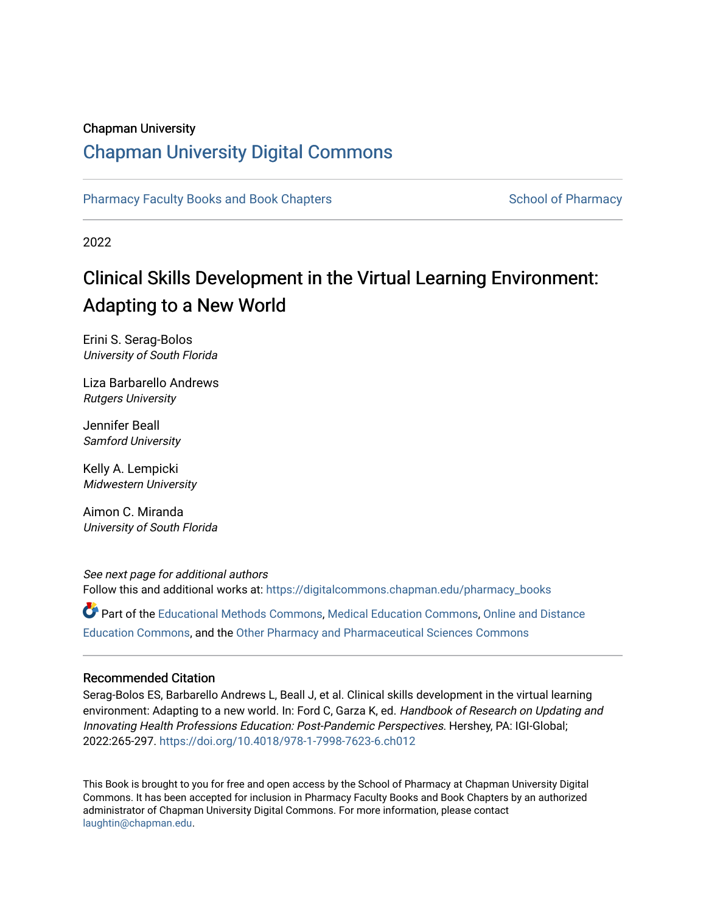# Chapman University

# [Chapman University Digital Commons](https://digitalcommons.chapman.edu/)

[Pharmacy Faculty Books and Book Chapters](https://digitalcommons.chapman.edu/pharmacy_books) [School of Pharmacy](https://digitalcommons.chapman.edu/cusp) School of Pharmacy

2022

# Clinical Skills Development in the Virtual Learning Environment: Adapting to a New World

Erini S. Serag-Bolos University of South Florida

Liza Barbarello Andrews Rutgers University

Jennifer Beall Samford University

Kelly A. Lempicki Midwestern University

Aimon C. Miranda University of South Florida

See next page for additional authors Follow this and additional works at: [https://digitalcommons.chapman.edu/pharmacy\\_books](https://digitalcommons.chapman.edu/pharmacy_books?utm_source=digitalcommons.chapman.edu%2Fpharmacy_books%2F25&utm_medium=PDF&utm_campaign=PDFCoverPages) 

Part of the [Educational Methods Commons,](http://network.bepress.com/hgg/discipline/1227?utm_source=digitalcommons.chapman.edu%2Fpharmacy_books%2F25&utm_medium=PDF&utm_campaign=PDFCoverPages) [Medical Education Commons,](http://network.bepress.com/hgg/discipline/1125?utm_source=digitalcommons.chapman.edu%2Fpharmacy_books%2F25&utm_medium=PDF&utm_campaign=PDFCoverPages) [Online and Distance](http://network.bepress.com/hgg/discipline/1296?utm_source=digitalcommons.chapman.edu%2Fpharmacy_books%2F25&utm_medium=PDF&utm_campaign=PDFCoverPages)  [Education Commons,](http://network.bepress.com/hgg/discipline/1296?utm_source=digitalcommons.chapman.edu%2Fpharmacy_books%2F25&utm_medium=PDF&utm_campaign=PDFCoverPages) and the [Other Pharmacy and Pharmaceutical Sciences Commons](http://network.bepress.com/hgg/discipline/737?utm_source=digitalcommons.chapman.edu%2Fpharmacy_books%2F25&utm_medium=PDF&utm_campaign=PDFCoverPages) 

#### Recommended Citation

Serag-Bolos ES, Barbarello Andrews L, Beall J, et al. Clinical skills development in the virtual learning environment: Adapting to a new world. In: Ford C, Garza K, ed. Handbook of Research on Updating and Innovating Health Professions Education: Post-Pandemic Perspectives. Hershey, PA: IGI-Global; 2022:265-297.<https://doi.org/10.4018/978-1-7998-7623-6.ch012>

This Book is brought to you for free and open access by the School of Pharmacy at Chapman University Digital Commons. It has been accepted for inclusion in Pharmacy Faculty Books and Book Chapters by an authorized administrator of Chapman University Digital Commons. For more information, please contact [laughtin@chapman.edu.](mailto:laughtin@chapman.edu)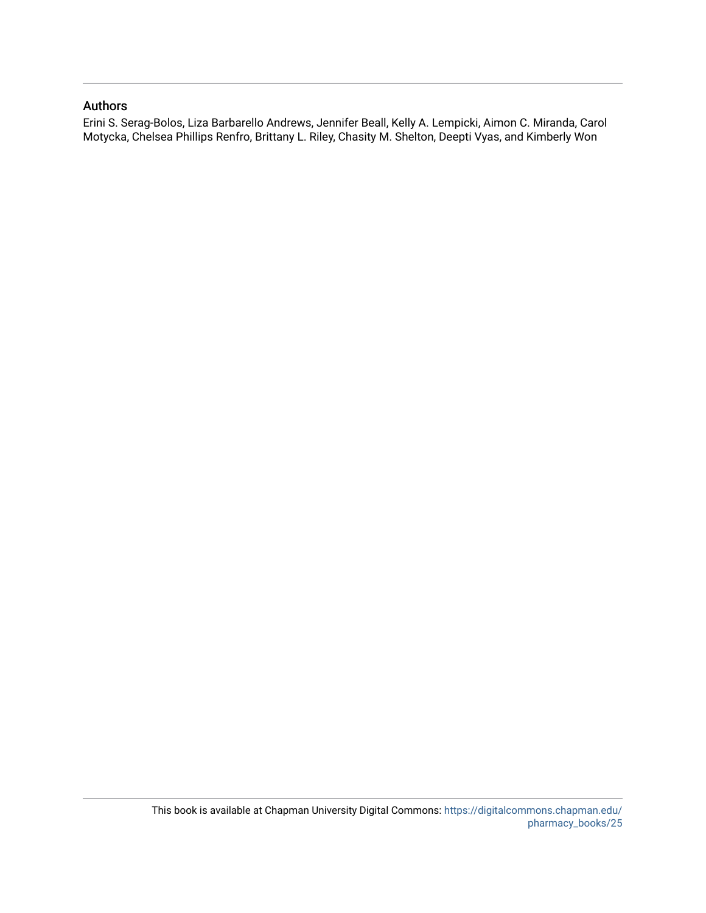## Authors

Erini S. Serag-Bolos, Liza Barbarello Andrews, Jennifer Beall, Kelly A. Lempicki, Aimon C. Miranda, Carol Motycka, Chelsea Phillips Renfro, Brittany L. Riley, Chasity M. Shelton, Deepti Vyas, and Kimberly Won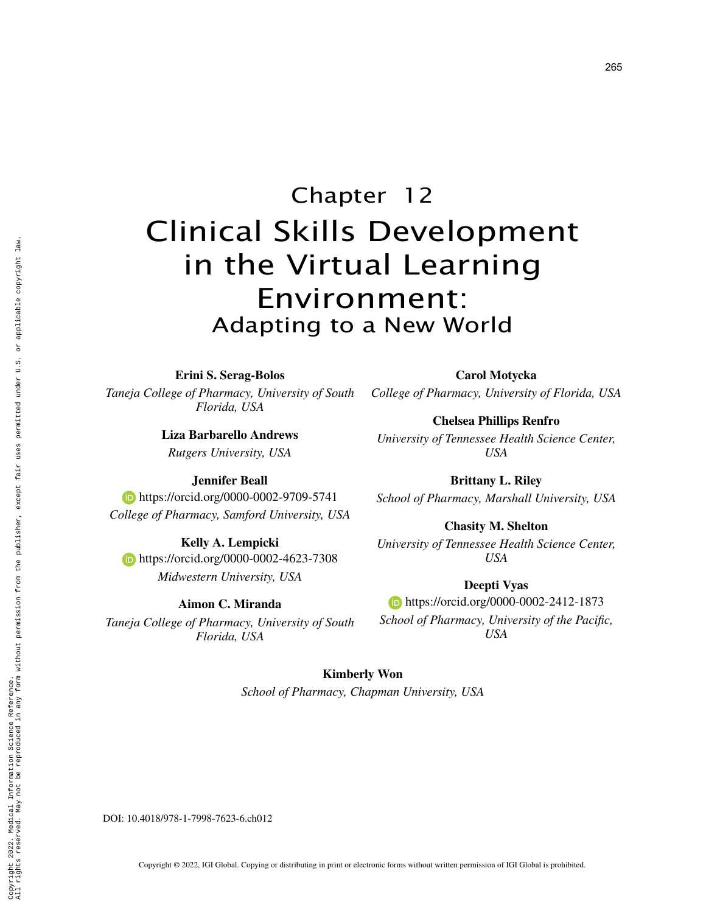# Chapter 12 Clinical Skills Development in the Virtual Learning Environment: Adapting to a New World

**Erini S. Serag-Bolos**

*Taneja College of Pharmacy, University of South Florida, USA*

> **Liza Barbarello Andrews** *Rutgers University, USA*

> > **Jennifer Beall**

**Kelly A. Lempicki https://orcid.org/0000-0002-4623-7308** *Midwestern University, USA*

**Aimon C. Miranda** *Taneja College of Pharmacy, University of South Florida, USA*

*USA* **Brittany L. Riley**

**Carol Motycka** *College of Pharmacy, University of Florida, USA*

**Chelsea Phillips Renfro** *University of Tennessee Health Science Center,* 

**https://orcid.org/0000-0002-9709-5741** *College of Pharmacy, Samford University, USA School of Pharmacy, Marshall University, USA*

**Chasity M. Shelton** *University of Tennessee Health Science Center,* 

*USA*

**Deepti Vyas https://orcid.org/0000-0002-2412-1873** *School of Pharmacy, University of the Pacific, USA*

**Kimberly Won** *School of Pharmacy, Chapman University, USA*

DOI: 10.4018/978-1-7998-7623-6.ch012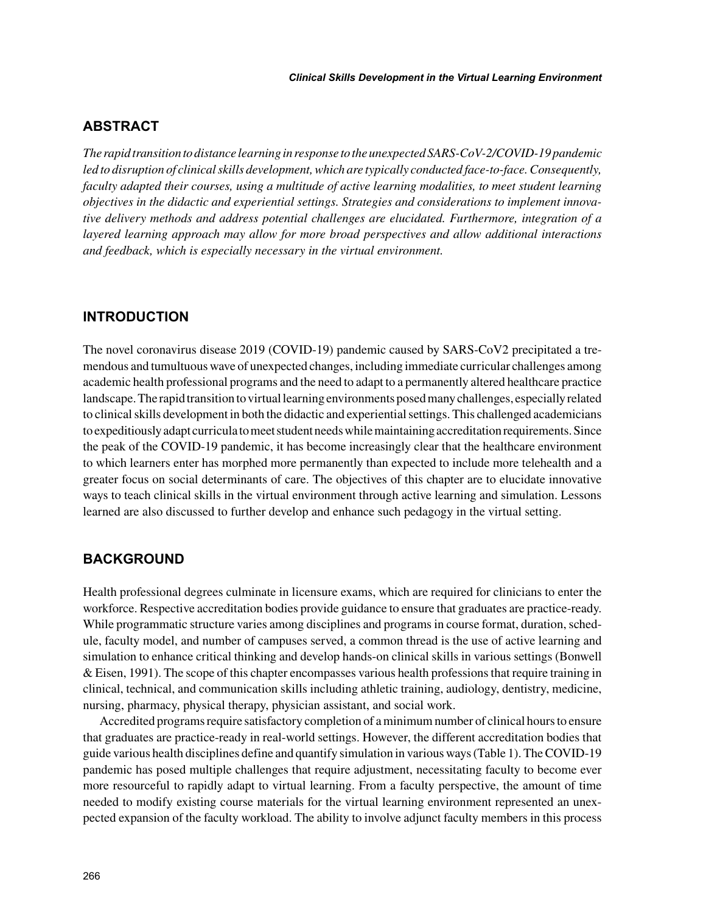# **ABSTRACT**

*The rapid transition to distance learning in response to the unexpected SARS-CoV-2/COVID-19 pandemic led to disruption of clinical skills development, which are typically conducted face-to-face. Consequently, faculty adapted their courses, using a multitude of active learning modalities, to meet student learning objectives in the didactic and experiential settings. Strategies and considerations to implement innovative delivery methods and address potential challenges are elucidated. Furthermore, integration of a layered learning approach may allow for more broad perspectives and allow additional interactions and feedback, which is especially necessary in the virtual environment.*

# **INTRODUCTION**

The novel coronavirus disease 2019 (COVID-19) pandemic caused by SARS-CoV2 precipitated a tremendous and tumultuous wave of unexpected changes, including immediate curricular challenges among academic health professional programs and the need to adapt to a permanently altered healthcare practice landscape. The rapid transition to virtual learning environments posed many challenges, especially related to clinical skills development in both the didactic and experiential settings. This challenged academicians to expeditiously adapt curricula to meet student needs while maintaining accreditation requirements. Since the peak of the COVID-19 pandemic, it has become increasingly clear that the healthcare environment to which learners enter has morphed more permanently than expected to include more telehealth and a greater focus on social determinants of care. The objectives of this chapter are to elucidate innovative ways to teach clinical skills in the virtual environment through active learning and simulation. Lessons learned are also discussed to further develop and enhance such pedagogy in the virtual setting.

# **BACKGROUND**

Health professional degrees culminate in licensure exams, which are required for clinicians to enter the workforce. Respective accreditation bodies provide guidance to ensure that graduates are practice-ready. While programmatic structure varies among disciplines and programs in course format, duration, schedule, faculty model, and number of campuses served, a common thread is the use of active learning and simulation to enhance critical thinking and develop hands-on clinical skills in various settings (Bonwell & Eisen, 1991). The scope of this chapter encompasses various health professions that require training in clinical, technical, and communication skills including athletic training, audiology, dentistry, medicine, nursing, pharmacy, physical therapy, physician assistant, and social work.

Accredited programs require satisfactory completion of a minimum number of clinical hours to ensure that graduates are practice-ready in real-world settings. However, the different accreditation bodies that guide various health disciplines define and quantify simulation in various ways (Table 1). The COVID-19 pandemic has posed multiple challenges that require adjustment, necessitating faculty to become ever more resourceful to rapidly adapt to virtual learning. From a faculty perspective, the amount of time needed to modify existing course materials for the virtual learning environment represented an unexpected expansion of the faculty workload. The ability to involve adjunct faculty members in this process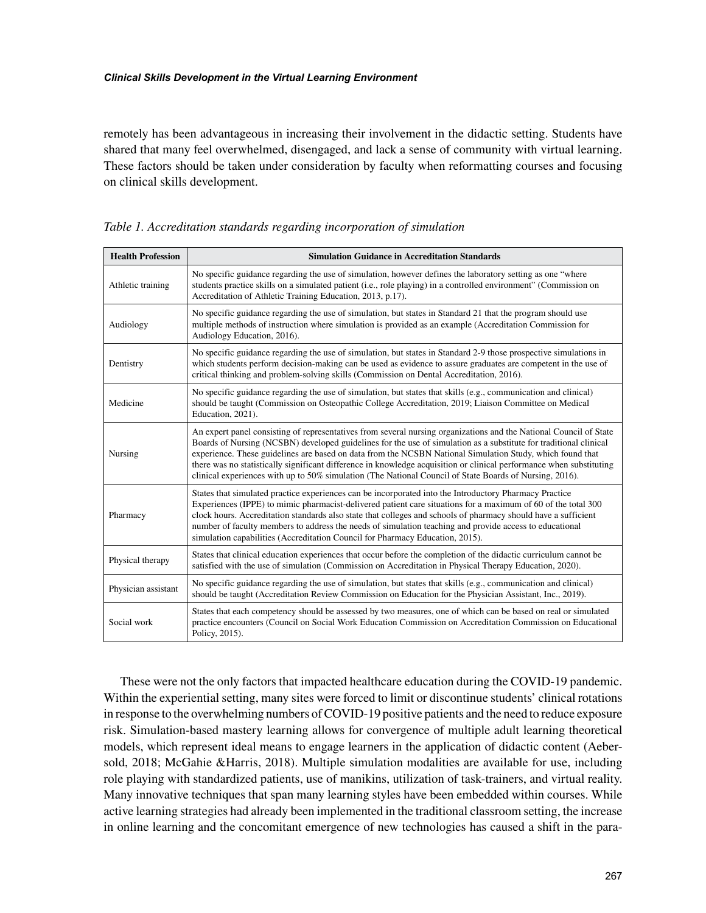remotely has been advantageous in increasing their involvement in the didactic setting. Students have shared that many feel overwhelmed, disengaged, and lack a sense of community with virtual learning. These factors should be taken under consideration by faculty when reformatting courses and focusing on clinical skills development.

| <b>Health Profession</b> | <b>Simulation Guidance in Accreditation Standards</b>                                                                                                                                                                                                                                                                                                                                                                                                                                                                                                                                   |  |
|--------------------------|-----------------------------------------------------------------------------------------------------------------------------------------------------------------------------------------------------------------------------------------------------------------------------------------------------------------------------------------------------------------------------------------------------------------------------------------------------------------------------------------------------------------------------------------------------------------------------------------|--|
| Athletic training        | No specific guidance regarding the use of simulation, however defines the laboratory setting as one "where"<br>students practice skills on a simulated patient (i.e., role playing) in a controlled environment" (Commission on<br>Accreditation of Athletic Training Education, 2013, p.17).                                                                                                                                                                                                                                                                                           |  |
| Audiology                | No specific guidance regarding the use of simulation, but states in Standard 21 that the program should use<br>multiple methods of instruction where simulation is provided as an example (Accreditation Commission for<br>Audiology Education, 2016).                                                                                                                                                                                                                                                                                                                                  |  |
| Dentistry                | No specific guidance regarding the use of simulation, but states in Standard 2-9 those prospective simulations in<br>which students perform decision-making can be used as evidence to assure graduates are competent in the use of<br>critical thinking and problem-solving skills (Commission on Dental Accreditation, 2016).                                                                                                                                                                                                                                                         |  |
| Medicine                 | No specific guidance regarding the use of simulation, but states that skills (e.g., communication and clinical)<br>should be taught (Commission on Osteopathic College Accreditation, 2019; Liaison Committee on Medical<br>Education, 2021).                                                                                                                                                                                                                                                                                                                                           |  |
| Nursing                  | An expert panel consisting of representatives from several nursing organizations and the National Council of State<br>Boards of Nursing (NCSBN) developed guidelines for the use of simulation as a substitute for traditional clinical<br>experience. These guidelines are based on data from the NCSBN National Simulation Study, which found that<br>there was no statistically significant difference in knowledge acquisition or clinical performance when substituting<br>clinical experiences with up to 50% simulation (The National Council of State Boards of Nursing, 2016). |  |
| Pharmacy                 | States that simulated practice experiences can be incorporated into the Introductory Pharmacy Practice<br>Experiences (IPPE) to mimic pharmacist-delivered patient care situations for a maximum of 60 of the total 300<br>clock hours. Accreditation standards also state that colleges and schools of pharmacy should have a sufficient<br>number of faculty members to address the needs of simulation teaching and provide access to educational<br>simulation capabilities (Accreditation Council for Pharmacy Education, 2015).                                                   |  |
| Physical therapy         | States that clinical education experiences that occur before the completion of the didactic curriculum cannot be<br>satisfied with the use of simulation (Commission on Accreditation in Physical Therapy Education, 2020).                                                                                                                                                                                                                                                                                                                                                             |  |
| Physician assistant      | No specific guidance regarding the use of simulation, but states that skills (e.g., communication and clinical)<br>should be taught (Accreditation Review Commission on Education for the Physician Assistant, Inc., 2019).                                                                                                                                                                                                                                                                                                                                                             |  |
| Social work              | States that each competency should be assessed by two measures, one of which can be based on real or simulated<br>practice encounters (Council on Social Work Education Commission on Accreditation Commission on Educational<br>Policy, 2015).                                                                                                                                                                                                                                                                                                                                         |  |

*Table 1. Accreditation standards regarding incorporation of simulation*

These were not the only factors that impacted healthcare education during the COVID-19 pandemic. Within the experiential setting, many sites were forced to limit or discontinue students' clinical rotations in response to the overwhelming numbers of COVID-19 positive patients and the need to reduce exposure risk. Simulation-based mastery learning allows for convergence of multiple adult learning theoretical models, which represent ideal means to engage learners in the application of didactic content (Aebersold, 2018; McGahie &Harris, 2018). Multiple simulation modalities are available for use, including role playing with standardized patients, use of manikins, utilization of task-trainers, and virtual reality. Many innovative techniques that span many learning styles have been embedded within courses. While active learning strategies had already been implemented in the traditional classroom setting, the increase in online learning and the concomitant emergence of new technologies has caused a shift in the para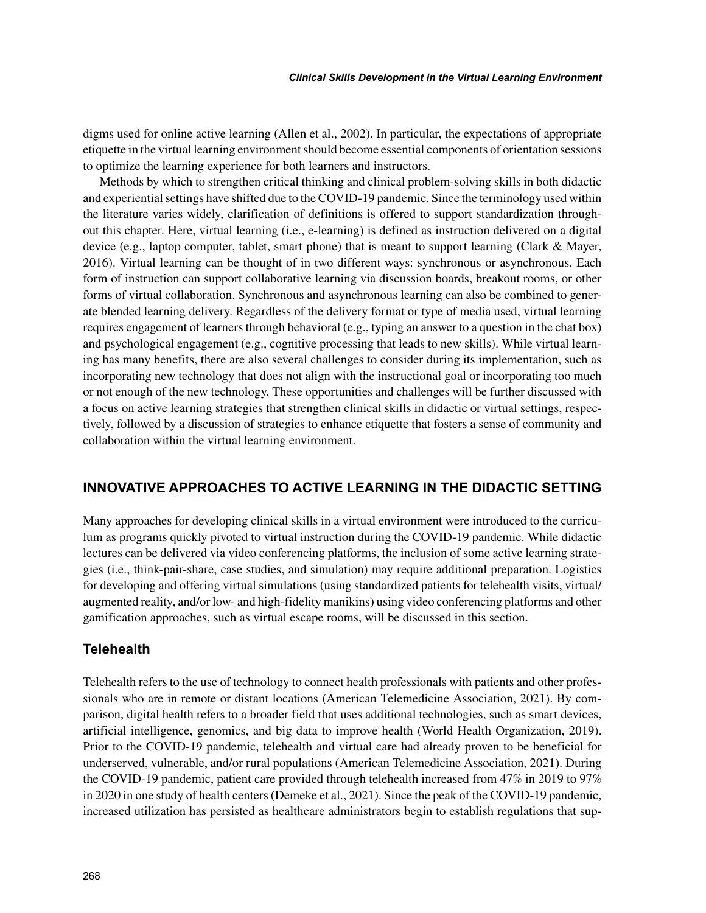digms used for online active learning (Allen et al., 2002). In particular, the expectations of appropriate etiquette in the virtual learning environment should become essential components of orientation sessions to optimize the learning experience for both learners and instructors.

Methods by which to strengthen critical thinking and clinical problem-solving skills in both didactic and experiential settings have shifted due to the COVID-19 pandemic. Since the terminology used within the literature varies widely, clarification of definitions is offered to support standardization throughout this chapter. Here, virtual learning (i.e., e-learning) is defined as instruction delivered on a digital device (e.g., laptop computer, tablet, smart phone) that is meant to support learning (Clark & Mayer, 2016). Virtual learning can be thought of in two different ways: synchronous or asynchronous. Each form of instruction can support collaborative learning via discussion boards, breakout rooms, or other forms of virtual collaboration. Synchronous and asynchronous learning can also be combined to generate blended learning delivery. Regardless of the delivery format or type of media used, virtual learning requires engagement of learners through behavioral (e.g., typing an answer to a question in the chat box) and psychological engagement (e.g., cognitive processing that leads to new skills). While virtual learning has many benefits, there are also several challenges to consider during its implementation, such as incorporating new technology that does not align with the instructional goal or incorporating too much or not enough of the new technology. These opportunities and challenges will be further discussed with a focus on active learning strategies that strengthen clinical skills in didactic or virtual settings, respectively, followed by a discussion of strategies to enhance etiquette that fosters a sense of community and collaboration within the virtual learning environment.

# **INNOVATIVE APPROACHES TO ACTIVE LEARNING IN THE DIDACTIC SETTING**

Many approaches for developing clinical skills in a virtual environment were introduced to the curriculum as programs quickly pivoted to virtual instruction during the COVID-19 pandemic. While didactic lectures can be delivered via video conferencing platforms, the inclusion of some active learning strategies (i.e., think-pair-share, case studies, and simulation) may require additional preparation. Logistics for developing and offering virtual simulations (using standardized patients for telehealth visits, virtual/ augmented reality, and/or low- and high-fidelity manikins) using video conferencing platforms and other gamification approaches, such as virtual escape rooms, will be discussed in this section.

# **Telehealth**

Telehealth refers to the use of technology to connect health professionals with patients and other professionals who are in remote or distant locations (American Telemedicine Association, 2021). By comparison, digital health refers to a broader field that uses additional technologies, such as smart devices, artificial intelligence, genomics, and big data to improve health (World Health Organization, 2019). Prior to the COVID-19 pandemic, telehealth and virtual care had already proven to be beneficial for underserved, vulnerable, and/or rural populations (American Telemedicine Association, 2021). During the COVID-19 pandemic, patient care provided through telehealth increased from 47% in 2019 to 97% in 2020 in one study of health centers (Demeke et al., 2021). Since the peak of the COVID-19 pandemic, increased utilization has persisted as healthcare administrators begin to establish regulations that sup-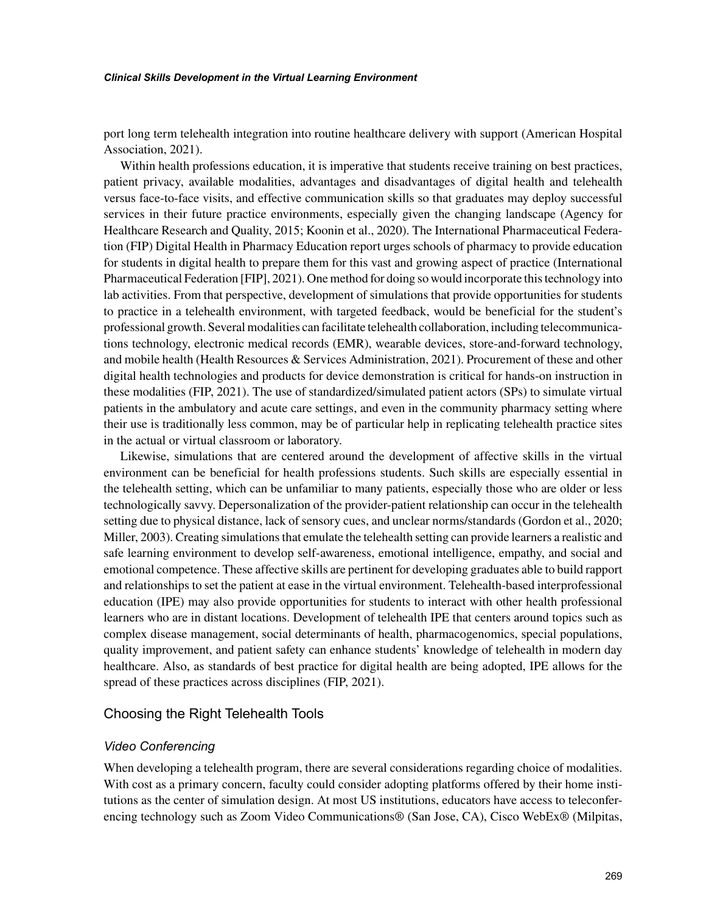port long term telehealth integration into routine healthcare delivery with support (American Hospital Association, 2021).

Within health professions education, it is imperative that students receive training on best practices, patient privacy, available modalities, advantages and disadvantages of digital health and telehealth versus face-to-face visits, and effective communication skills so that graduates may deploy successful services in their future practice environments, especially given the changing landscape (Agency for Healthcare Research and Quality, 2015; Koonin et al., 2020). The International Pharmaceutical Federation (FIP) Digital Health in Pharmacy Education report urges schools of pharmacy to provide education for students in digital health to prepare them for this vast and growing aspect of practice (International Pharmaceutical Federation [FIP], 2021). One method for doing so would incorporate this technology into lab activities. From that perspective, development of simulations that provide opportunities for students to practice in a telehealth environment, with targeted feedback, would be beneficial for the student's professional growth. Several modalities can facilitate telehealth collaboration, including telecommunications technology, electronic medical records (EMR), wearable devices, store-and-forward technology, and mobile health (Health Resources & Services Administration, 2021). Procurement of these and other digital health technologies and products for device demonstration is critical for hands-on instruction in these modalities (FIP, 2021). The use of standardized/simulated patient actors (SPs) to simulate virtual patients in the ambulatory and acute care settings, and even in the community pharmacy setting where their use is traditionally less common, may be of particular help in replicating telehealth practice sites in the actual or virtual classroom or laboratory.

Likewise, simulations that are centered around the development of affective skills in the virtual environment can be beneficial for health professions students. Such skills are especially essential in the telehealth setting, which can be unfamiliar to many patients, especially those who are older or less technologically savvy. Depersonalization of the provider-patient relationship can occur in the telehealth setting due to physical distance, lack of sensory cues, and unclear norms/standards (Gordon et al., 2020; Miller, 2003). Creating simulations that emulate the telehealth setting can provide learners a realistic and safe learning environment to develop self-awareness, emotional intelligence, empathy, and social and emotional competence. These affective skills are pertinent for developing graduates able to build rapport and relationships to set the patient at ease in the virtual environment. Telehealth-based interprofessional education (IPE) may also provide opportunities for students to interact with other health professional learners who are in distant locations. Development of telehealth IPE that centers around topics such as complex disease management, social determinants of health, pharmacogenomics, special populations, quality improvement, and patient safety can enhance students' knowledge of telehealth in modern day healthcare. Also, as standards of best practice for digital health are being adopted, IPE allows for the spread of these practices across disciplines (FIP, 2021).

#### Choosing the Right Telehealth Tools

#### *Video Conferencing*

When developing a telehealth program, there are several considerations regarding choice of modalities. With cost as a primary concern, faculty could consider adopting platforms offered by their home institutions as the center of simulation design. At most US institutions, educators have access to teleconferencing technology such as Zoom Video Communications® (San Jose, CA), Cisco WebEx® (Milpitas,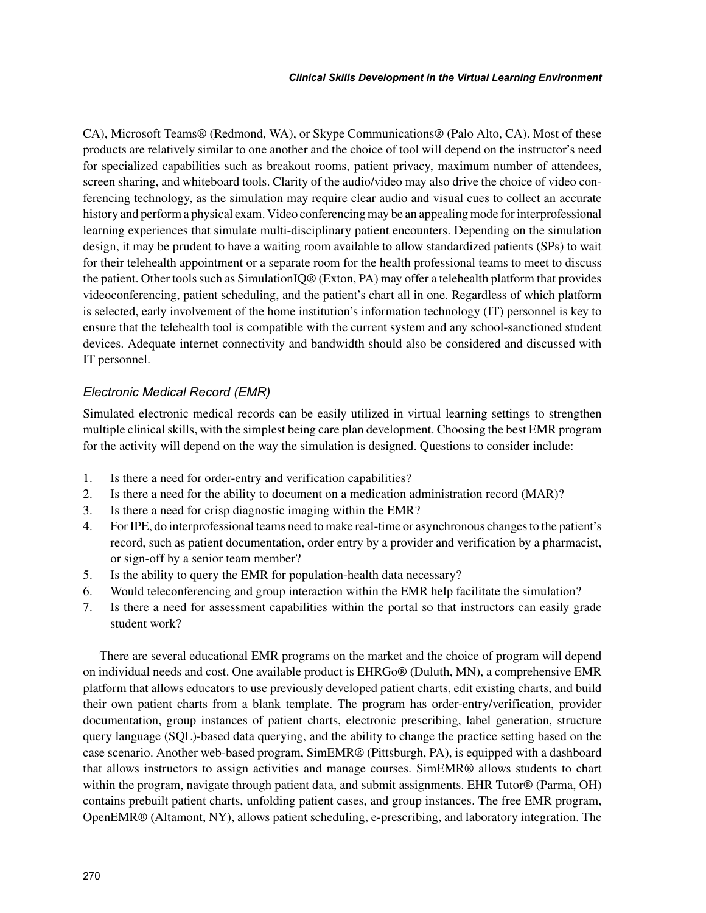CA), Microsoft Teams® (Redmond, WA), or Skype Communications® (Palo Alto, CA). Most of these products are relatively similar to one another and the choice of tool will depend on the instructor's need for specialized capabilities such as breakout rooms, patient privacy, maximum number of attendees, screen sharing, and whiteboard tools. Clarity of the audio/video may also drive the choice of video conferencing technology, as the simulation may require clear audio and visual cues to collect an accurate history and perform a physical exam. Video conferencing may be an appealing mode for interprofessional learning experiences that simulate multi-disciplinary patient encounters. Depending on the simulation design, it may be prudent to have a waiting room available to allow standardized patients (SPs) to wait for their telehealth appointment or a separate room for the health professional teams to meet to discuss the patient. Other tools such as SimulationIQ® (Exton, PA) may offer a telehealth platform that provides videoconferencing, patient scheduling, and the patient's chart all in one. Regardless of which platform is selected, early involvement of the home institution's information technology (IT) personnel is key to ensure that the telehealth tool is compatible with the current system and any school-sanctioned student devices. Adequate internet connectivity and bandwidth should also be considered and discussed with IT personnel.

# *Electronic Medical Record (EMR)*

Simulated electronic medical records can be easily utilized in virtual learning settings to strengthen multiple clinical skills, with the simplest being care plan development. Choosing the best EMR program for the activity will depend on the way the simulation is designed. Questions to consider include:

- 1. Is there a need for order-entry and verification capabilities?
- 2. Is there a need for the ability to document on a medication administration record (MAR)?
- 3. Is there a need for crisp diagnostic imaging within the EMR?
- 4. For IPE, do interprofessional teams need to make real-time or asynchronous changes to the patient's record, such as patient documentation, order entry by a provider and verification by a pharmacist, or sign-off by a senior team member?
- 5. Is the ability to query the EMR for population-health data necessary?
- 6. Would teleconferencing and group interaction within the EMR help facilitate the simulation?
- 7. Is there a need for assessment capabilities within the portal so that instructors can easily grade student work?

There are several educational EMR programs on the market and the choice of program will depend on individual needs and cost. One available product is EHRGo® (Duluth, MN), a comprehensive EMR platform that allows educators to use previously developed patient charts, edit existing charts, and build their own patient charts from a blank template. The program has order-entry/verification, provider documentation, group instances of patient charts, electronic prescribing, label generation, structure query language (SQL)-based data querying, and the ability to change the practice setting based on the case scenario. Another web-based program, SimEMR® (Pittsburgh, PA), is equipped with a dashboard that allows instructors to assign activities and manage courses. SimEMR® allows students to chart within the program, navigate through patient data, and submit assignments. EHR Tutor® (Parma, OH) contains prebuilt patient charts, unfolding patient cases, and group instances. The free EMR program, OpenEMR® (Altamont, NY), allows patient scheduling, e-prescribing, and laboratory integration. The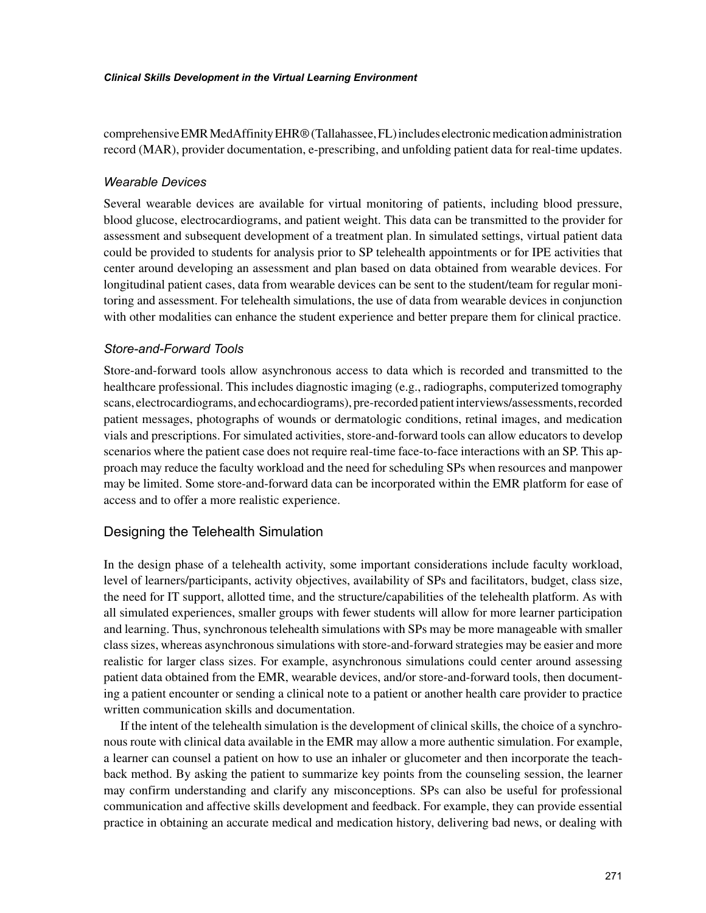comprehensive EMR MedAffinity EHR® (Tallahassee, FL) includes electronic medication administration record (MAR), provider documentation, e-prescribing, and unfolding patient data for real-time updates.

#### *Wearable Devices*

Several wearable devices are available for virtual monitoring of patients, including blood pressure, blood glucose, electrocardiograms, and patient weight. This data can be transmitted to the provider for assessment and subsequent development of a treatment plan. In simulated settings, virtual patient data could be provided to students for analysis prior to SP telehealth appointments or for IPE activities that center around developing an assessment and plan based on data obtained from wearable devices. For longitudinal patient cases, data from wearable devices can be sent to the student/team for regular monitoring and assessment. For telehealth simulations, the use of data from wearable devices in conjunction with other modalities can enhance the student experience and better prepare them for clinical practice.

### *Store-and-Forward Tools*

Store-and-forward tools allow asynchronous access to data which is recorded and transmitted to the healthcare professional. This includes diagnostic imaging (e.g., radiographs, computerized tomography scans, electrocardiograms, and echocardiograms), pre-recorded patient interviews/assessments, recorded patient messages, photographs of wounds or dermatologic conditions, retinal images, and medication vials and prescriptions. For simulated activities, store-and-forward tools can allow educators to develop scenarios where the patient case does not require real-time face-to-face interactions with an SP. This approach may reduce the faculty workload and the need for scheduling SPs when resources and manpower may be limited. Some store-and-forward data can be incorporated within the EMR platform for ease of access and to offer a more realistic experience.

### Designing the Telehealth Simulation

In the design phase of a telehealth activity, some important considerations include faculty workload, level of learners/participants, activity objectives, availability of SPs and facilitators, budget, class size, the need for IT support, allotted time, and the structure/capabilities of the telehealth platform. As with all simulated experiences, smaller groups with fewer students will allow for more learner participation and learning. Thus, synchronous telehealth simulations with SPs may be more manageable with smaller class sizes, whereas asynchronous simulations with store-and-forward strategies may be easier and more realistic for larger class sizes. For example, asynchronous simulations could center around assessing patient data obtained from the EMR, wearable devices, and/or store-and-forward tools, then documenting a patient encounter or sending a clinical note to a patient or another health care provider to practice written communication skills and documentation.

If the intent of the telehealth simulation is the development of clinical skills, the choice of a synchronous route with clinical data available in the EMR may allow a more authentic simulation. For example, a learner can counsel a patient on how to use an inhaler or glucometer and then incorporate the teachback method. By asking the patient to summarize key points from the counseling session, the learner may confirm understanding and clarify any misconceptions. SPs can also be useful for professional communication and affective skills development and feedback. For example, they can provide essential practice in obtaining an accurate medical and medication history, delivering bad news, or dealing with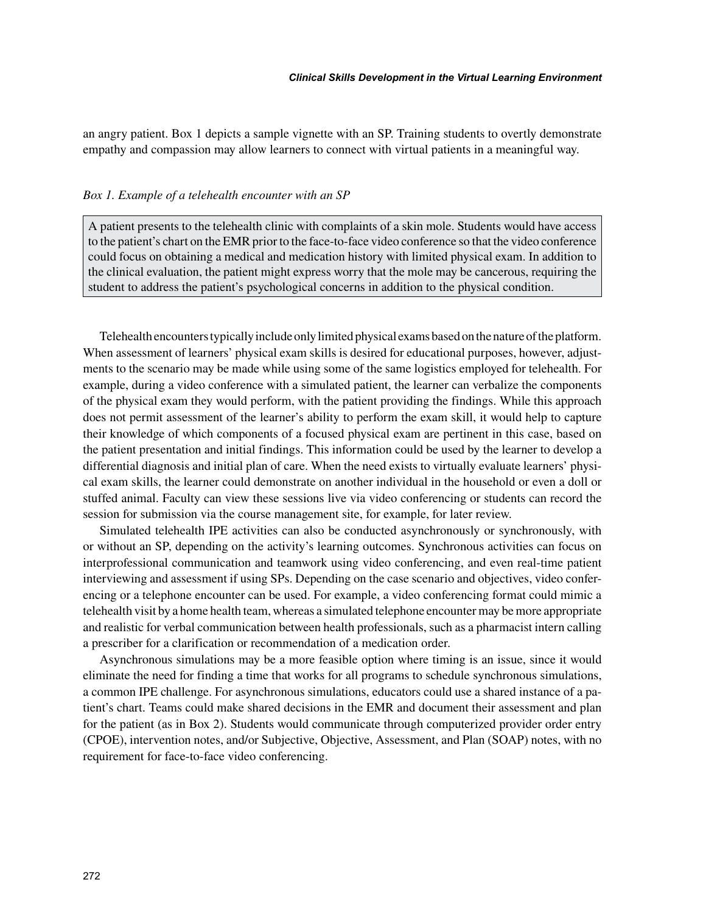an angry patient. Box 1 depicts a sample vignette with an SP. Training students to overtly demonstrate empathy and compassion may allow learners to connect with virtual patients in a meaningful way.

#### *Box 1. Example of a telehealth encounter with an SP*

A patient presents to the telehealth clinic with complaints of a skin mole. Students would have access to the patient's chart on the EMR prior to the face-to-face video conference so that the video conference could focus on obtaining a medical and medication history with limited physical exam. In addition to the clinical evaluation, the patient might express worry that the mole may be cancerous, requiring the student to address the patient's psychological concerns in addition to the physical condition.

Telehealth encounters typically include only limited physical exams based on the nature of the platform. When assessment of learners' physical exam skills is desired for educational purposes, however, adjustments to the scenario may be made while using some of the same logistics employed for telehealth. For example, during a video conference with a simulated patient, the learner can verbalize the components of the physical exam they would perform, with the patient providing the findings. While this approach does not permit assessment of the learner's ability to perform the exam skill, it would help to capture their knowledge of which components of a focused physical exam are pertinent in this case, based on the patient presentation and initial findings. This information could be used by the learner to develop a differential diagnosis and initial plan of care. When the need exists to virtually evaluate learners' physical exam skills, the learner could demonstrate on another individual in the household or even a doll or stuffed animal. Faculty can view these sessions live via video conferencing or students can record the session for submission via the course management site, for example, for later review.

Simulated telehealth IPE activities can also be conducted asynchronously or synchronously, with or without an SP, depending on the activity's learning outcomes. Synchronous activities can focus on interprofessional communication and teamwork using video conferencing, and even real-time patient interviewing and assessment if using SPs. Depending on the case scenario and objectives, video conferencing or a telephone encounter can be used. For example, a video conferencing format could mimic a telehealth visit by a home health team, whereas a simulated telephone encounter may be more appropriate and realistic for verbal communication between health professionals, such as a pharmacist intern calling a prescriber for a clarification or recommendation of a medication order.

Asynchronous simulations may be a more feasible option where timing is an issue, since it would eliminate the need for finding a time that works for all programs to schedule synchronous simulations, a common IPE challenge. For asynchronous simulations, educators could use a shared instance of a patient's chart. Teams could make shared decisions in the EMR and document their assessment and plan for the patient (as in Box 2). Students would communicate through computerized provider order entry (CPOE), intervention notes, and/or Subjective, Objective, Assessment, and Plan (SOAP) notes, with no requirement for face-to-face video conferencing.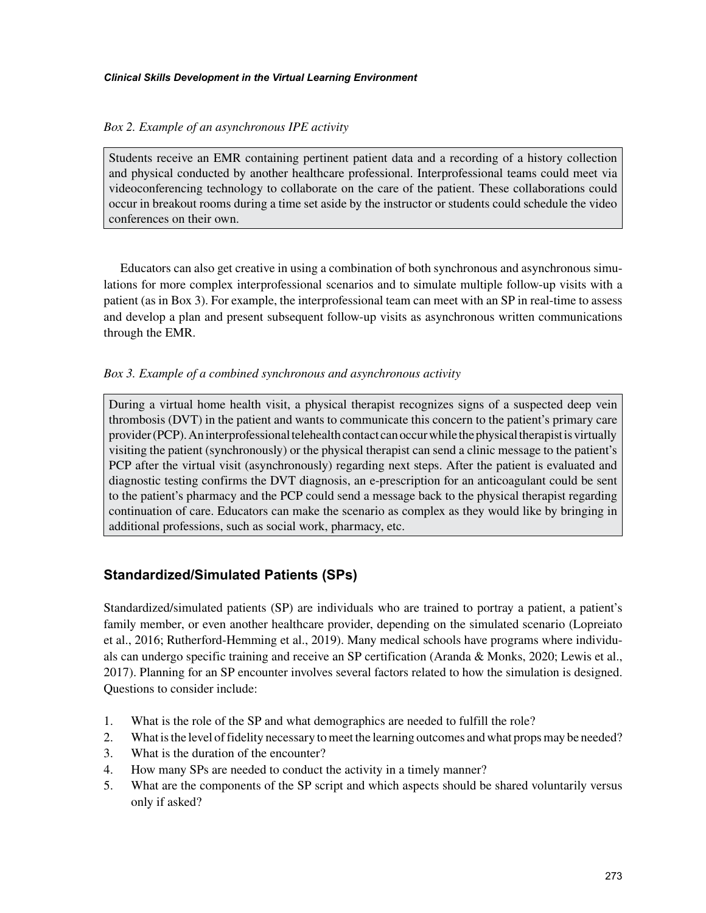#### *Box 2. Example of an asynchronous IPE activity*

Students receive an EMR containing pertinent patient data and a recording of a history collection and physical conducted by another healthcare professional. Interprofessional teams could meet via videoconferencing technology to collaborate on the care of the patient. These collaborations could occur in breakout rooms during a time set aside by the instructor or students could schedule the video conferences on their own.

Educators can also get creative in using a combination of both synchronous and asynchronous simulations for more complex interprofessional scenarios and to simulate multiple follow-up visits with a patient (as in Box 3). For example, the interprofessional team can meet with an SP in real-time to assess and develop a plan and present subsequent follow-up visits as asynchronous written communications through the EMR.

#### *Box 3. Example of a combined synchronous and asynchronous activity*

During a virtual home health visit, a physical therapist recognizes signs of a suspected deep vein thrombosis (DVT) in the patient and wants to communicate this concern to the patient's primary care provider (PCP). An interprofessional telehealth contact can occur while the physical therapist is virtually visiting the patient (synchronously) or the physical therapist can send a clinic message to the patient's PCP after the virtual visit (asynchronously) regarding next steps. After the patient is evaluated and diagnostic testing confirms the DVT diagnosis, an e-prescription for an anticoagulant could be sent to the patient's pharmacy and the PCP could send a message back to the physical therapist regarding continuation of care. Educators can make the scenario as complex as they would like by bringing in additional professions, such as social work, pharmacy, etc.

# **Standardized/Simulated Patients (SPs)**

Standardized/simulated patients (SP) are individuals who are trained to portray a patient, a patient's family member, or even another healthcare provider, depending on the simulated scenario (Lopreiato et al., 2016; Rutherford-Hemming et al., 2019). Many medical schools have programs where individuals can undergo specific training and receive an SP certification (Aranda & Monks, 2020; Lewis et al., 2017). Planning for an SP encounter involves several factors related to how the simulation is designed. Questions to consider include:

- 1. What is the role of the SP and what demographics are needed to fulfill the role?
- 2. What is the level of fidelity necessary to meet the learning outcomes and what props may be needed?
- 3. What is the duration of the encounter?
- 4. How many SPs are needed to conduct the activity in a timely manner?
- 5. What are the components of the SP script and which aspects should be shared voluntarily versus only if asked?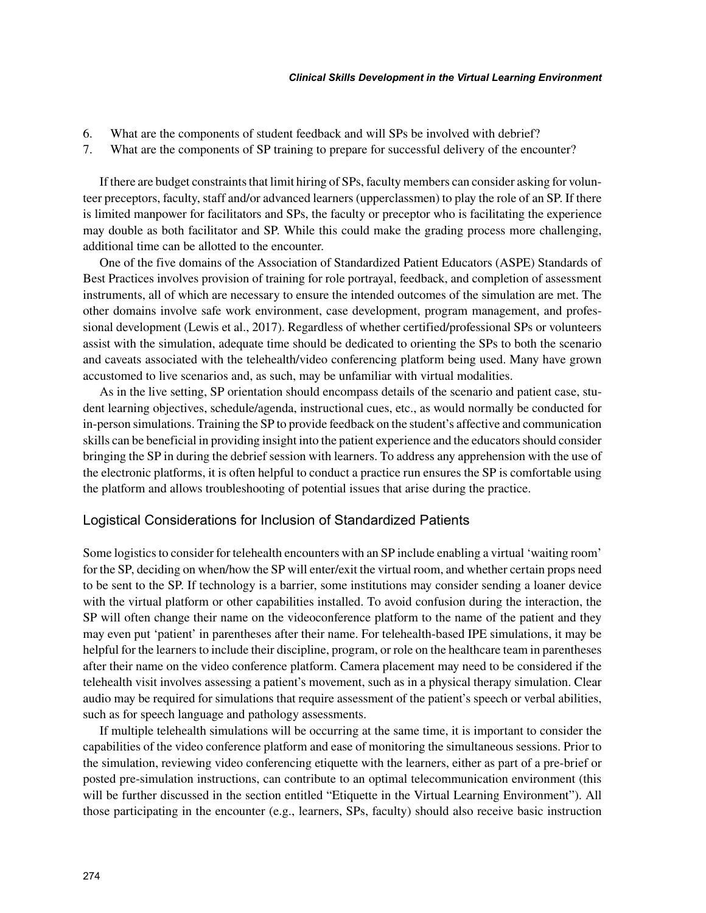- 6. What are the components of student feedback and will SPs be involved with debrief?
- 7. What are the components of SP training to prepare for successful delivery of the encounter?

If there are budget constraints that limit hiring of SPs, faculty members can consider asking for volunteer preceptors, faculty, staff and/or advanced learners (upperclassmen) to play the role of an SP. If there is limited manpower for facilitators and SPs, the faculty or preceptor who is facilitating the experience may double as both facilitator and SP. While this could make the grading process more challenging, additional time can be allotted to the encounter.

One of the five domains of the Association of Standardized Patient Educators (ASPE) Standards of Best Practices involves provision of training for role portrayal, feedback, and completion of assessment instruments, all of which are necessary to ensure the intended outcomes of the simulation are met. The other domains involve safe work environment, case development, program management, and professional development (Lewis et al., 2017). Regardless of whether certified/professional SPs or volunteers assist with the simulation, adequate time should be dedicated to orienting the SPs to both the scenario and caveats associated with the telehealth/video conferencing platform being used. Many have grown accustomed to live scenarios and, as such, may be unfamiliar with virtual modalities.

As in the live setting, SP orientation should encompass details of the scenario and patient case, student learning objectives, schedule/agenda, instructional cues, etc., as would normally be conducted for in-person simulations. Training the SP to provide feedback on the student's affective and communication skills can be beneficial in providing insight into the patient experience and the educators should consider bringing the SP in during the debrief session with learners. To address any apprehension with the use of the electronic platforms, it is often helpful to conduct a practice run ensures the SP is comfortable using the platform and allows troubleshooting of potential issues that arise during the practice.

#### Logistical Considerations for Inclusion of Standardized Patients

Some logistics to consider for telehealth encounters with an SP include enabling a virtual 'waiting room' for the SP, deciding on when/how the SP will enter/exit the virtual room, and whether certain props need to be sent to the SP. If technology is a barrier, some institutions may consider sending a loaner device with the virtual platform or other capabilities installed. To avoid confusion during the interaction, the SP will often change their name on the videoconference platform to the name of the patient and they may even put 'patient' in parentheses after their name. For telehealth-based IPE simulations, it may be helpful for the learners to include their discipline, program, or role on the healthcare team in parentheses after their name on the video conference platform. Camera placement may need to be considered if the telehealth visit involves assessing a patient's movement, such as in a physical therapy simulation. Clear audio may be required for simulations that require assessment of the patient's speech or verbal abilities, such as for speech language and pathology assessments.

If multiple telehealth simulations will be occurring at the same time, it is important to consider the capabilities of the video conference platform and ease of monitoring the simultaneous sessions. Prior to the simulation, reviewing video conferencing etiquette with the learners, either as part of a pre-brief or posted pre-simulation instructions, can contribute to an optimal telecommunication environment (this will be further discussed in the section entitled "Etiquette in the Virtual Learning Environment"). All those participating in the encounter (e.g., learners, SPs, faculty) should also receive basic instruction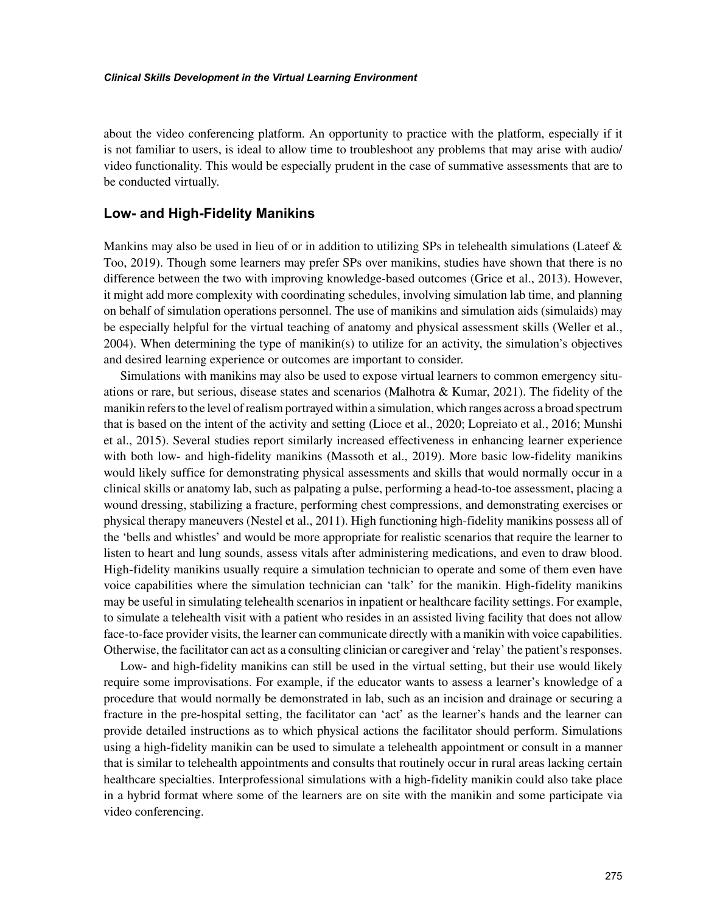about the video conferencing platform. An opportunity to practice with the platform, especially if it is not familiar to users, is ideal to allow time to troubleshoot any problems that may arise with audio/ video functionality. This would be especially prudent in the case of summative assessments that are to be conducted virtually.

## **Low- and High-Fidelity Manikins**

Mankins may also be used in lieu of or in addition to utilizing SPs in telehealth simulations (Lateef  $\&$ Too, 2019). Though some learners may prefer SPs over manikins, studies have shown that there is no difference between the two with improving knowledge-based outcomes (Grice et al., 2013). However, it might add more complexity with coordinating schedules, involving simulation lab time, and planning on behalf of simulation operations personnel. The use of manikins and simulation aids (simulaids) may be especially helpful for the virtual teaching of anatomy and physical assessment skills (Weller et al., 2004). When determining the type of manikin(s) to utilize for an activity, the simulation's objectives and desired learning experience or outcomes are important to consider.

Simulations with manikins may also be used to expose virtual learners to common emergency situations or rare, but serious, disease states and scenarios (Malhotra & Kumar, 2021). The fidelity of the manikin refers to the level of realism portrayed within a simulation, which ranges across a broad spectrum that is based on the intent of the activity and setting (Lioce et al., 2020; Lopreiato et al., 2016; Munshi et al., 2015). Several studies report similarly increased effectiveness in enhancing learner experience with both low- and high-fidelity manikins (Massoth et al., 2019). More basic low-fidelity manikins would likely suffice for demonstrating physical assessments and skills that would normally occur in a clinical skills or anatomy lab, such as palpating a pulse, performing a head-to-toe assessment, placing a wound dressing, stabilizing a fracture, performing chest compressions, and demonstrating exercises or physical therapy maneuvers (Nestel et al., 2011). High functioning high-fidelity manikins possess all of the 'bells and whistles' and would be more appropriate for realistic scenarios that require the learner to listen to heart and lung sounds, assess vitals after administering medications, and even to draw blood. High-fidelity manikins usually require a simulation technician to operate and some of them even have voice capabilities where the simulation technician can 'talk' for the manikin. High-fidelity manikins may be useful in simulating telehealth scenarios in inpatient or healthcare facility settings. For example, to simulate a telehealth visit with a patient who resides in an assisted living facility that does not allow face-to-face provider visits, the learner can communicate directly with a manikin with voice capabilities. Otherwise, the facilitator can act as a consulting clinician or caregiver and 'relay' the patient's responses.

Low- and high-fidelity manikins can still be used in the virtual setting, but their use would likely require some improvisations. For example, if the educator wants to assess a learner's knowledge of a procedure that would normally be demonstrated in lab, such as an incision and drainage or securing a fracture in the pre-hospital setting, the facilitator can 'act' as the learner's hands and the learner can provide detailed instructions as to which physical actions the facilitator should perform. Simulations using a high-fidelity manikin can be used to simulate a telehealth appointment or consult in a manner that is similar to telehealth appointments and consults that routinely occur in rural areas lacking certain healthcare specialties. Interprofessional simulations with a high-fidelity manikin could also take place in a hybrid format where some of the learners are on site with the manikin and some participate via video conferencing.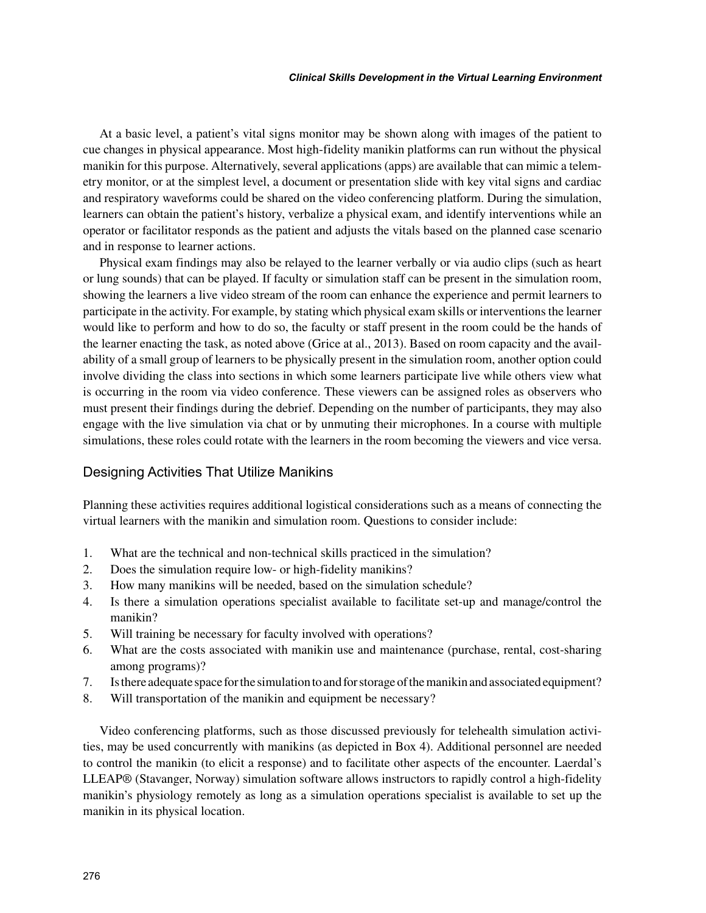At a basic level, a patient's vital signs monitor may be shown along with images of the patient to cue changes in physical appearance. Most high-fidelity manikin platforms can run without the physical manikin for this purpose. Alternatively, several applications (apps) are available that can mimic a telemetry monitor, or at the simplest level, a document or presentation slide with key vital signs and cardiac and respiratory waveforms could be shared on the video conferencing platform. During the simulation, learners can obtain the patient's history, verbalize a physical exam, and identify interventions while an operator or facilitator responds as the patient and adjusts the vitals based on the planned case scenario and in response to learner actions.

Physical exam findings may also be relayed to the learner verbally or via audio clips (such as heart or lung sounds) that can be played. If faculty or simulation staff can be present in the simulation room, showing the learners a live video stream of the room can enhance the experience and permit learners to participate in the activity. For example, by stating which physical exam skills or interventions the learner would like to perform and how to do so, the faculty or staff present in the room could be the hands of the learner enacting the task, as noted above (Grice at al., 2013). Based on room capacity and the availability of a small group of learners to be physically present in the simulation room, another option could involve dividing the class into sections in which some learners participate live while others view what is occurring in the room via video conference. These viewers can be assigned roles as observers who must present their findings during the debrief. Depending on the number of participants, they may also engage with the live simulation via chat or by unmuting their microphones. In a course with multiple simulations, these roles could rotate with the learners in the room becoming the viewers and vice versa.

#### Designing Activities That Utilize Manikins

Planning these activities requires additional logistical considerations such as a means of connecting the virtual learners with the manikin and simulation room. Questions to consider include:

- 1. What are the technical and non-technical skills practiced in the simulation?
- 2. Does the simulation require low- or high-fidelity manikins?
- 3. How many manikins will be needed, based on the simulation schedule?
- 4. Is there a simulation operations specialist available to facilitate set-up and manage/control the manikin?
- 5. Will training be necessary for faculty involved with operations?
- 6. What are the costs associated with manikin use and maintenance (purchase, rental, cost-sharing among programs)?
- 7. Is there adequate space for the simulation to and for storage of the manikin and associated equipment?
- 8. Will transportation of the manikin and equipment be necessary?

Video conferencing platforms, such as those discussed previously for telehealth simulation activities, may be used concurrently with manikins (as depicted in Box 4). Additional personnel are needed to control the manikin (to elicit a response) and to facilitate other aspects of the encounter. Laerdal's LLEAP® (Stavanger, Norway) simulation software allows instructors to rapidly control a high-fidelity manikin's physiology remotely as long as a simulation operations specialist is available to set up the manikin in its physical location.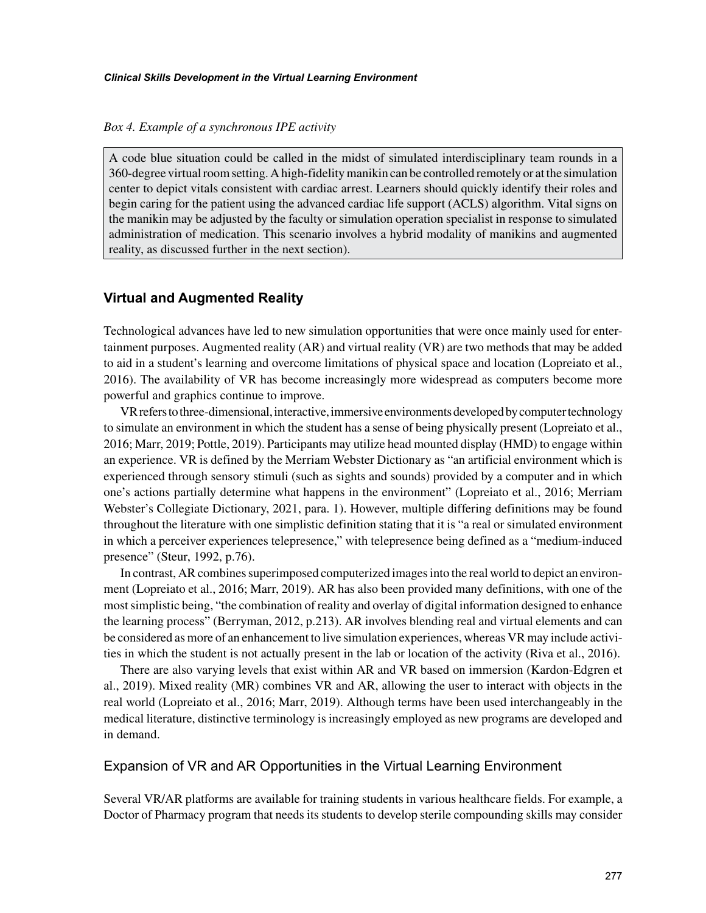#### *Box 4. Example of a synchronous IPE activity*

A code blue situation could be called in the midst of simulated interdisciplinary team rounds in a 360-degree virtual room setting. A high-fidelity manikin can be controlled remotely or at the simulation center to depict vitals consistent with cardiac arrest. Learners should quickly identify their roles and begin caring for the patient using the advanced cardiac life support (ACLS) algorithm. Vital signs on the manikin may be adjusted by the faculty or simulation operation specialist in response to simulated administration of medication. This scenario involves a hybrid modality of manikins and augmented reality, as discussed further in the next section).

# **Virtual and Augmented Reality**

Technological advances have led to new simulation opportunities that were once mainly used for entertainment purposes. Augmented reality (AR) and virtual reality (VR) are two methods that may be added to aid in a student's learning and overcome limitations of physical space and location (Lopreiato et al., 2016). The availability of VR has become increasingly more widespread as computers become more powerful and graphics continue to improve.

VR refers to three-dimensional, interactive, immersive environments developed by computer technology to simulate an environment in which the student has a sense of being physically present (Lopreiato et al., 2016; Marr, 2019; Pottle, 2019). Participants may utilize head mounted display (HMD) to engage within an experience. VR is defined by the Merriam Webster Dictionary as "an artificial environment which is experienced through sensory stimuli (such as sights and sounds) provided by a computer and in which one's actions partially determine what happens in the environment" (Lopreiato et al., 2016; Merriam Webster's Collegiate Dictionary, 2021, para. 1). However, multiple differing definitions may be found throughout the literature with one simplistic definition stating that it is "a real or simulated environment in which a perceiver experiences telepresence," with telepresence being defined as a "medium-induced presence" (Steur, 1992, p.76).

In contrast, AR combines superimposed computerized images into the real world to depict an environment (Lopreiato et al., 2016; Marr, 2019). AR has also been provided many definitions, with one of the most simplistic being, "the combination of reality and overlay of digital information designed to enhance the learning process" (Berryman, 2012, p.213). AR involves blending real and virtual elements and can be considered as more of an enhancement to live simulation experiences, whereas VR may include activities in which the student is not actually present in the lab or location of the activity (Riva et al., 2016).

There are also varying levels that exist within AR and VR based on immersion (Kardon-Edgren et al., 2019). Mixed reality (MR) combines VR and AR, allowing the user to interact with objects in the real world (Lopreiato et al., 2016; Marr, 2019). Although terms have been used interchangeably in the medical literature, distinctive terminology is increasingly employed as new programs are developed and in demand.

## Expansion of VR and AR Opportunities in the Virtual Learning Environment

Several VR/AR platforms are available for training students in various healthcare fields. For example, a Doctor of Pharmacy program that needs its students to develop sterile compounding skills may consider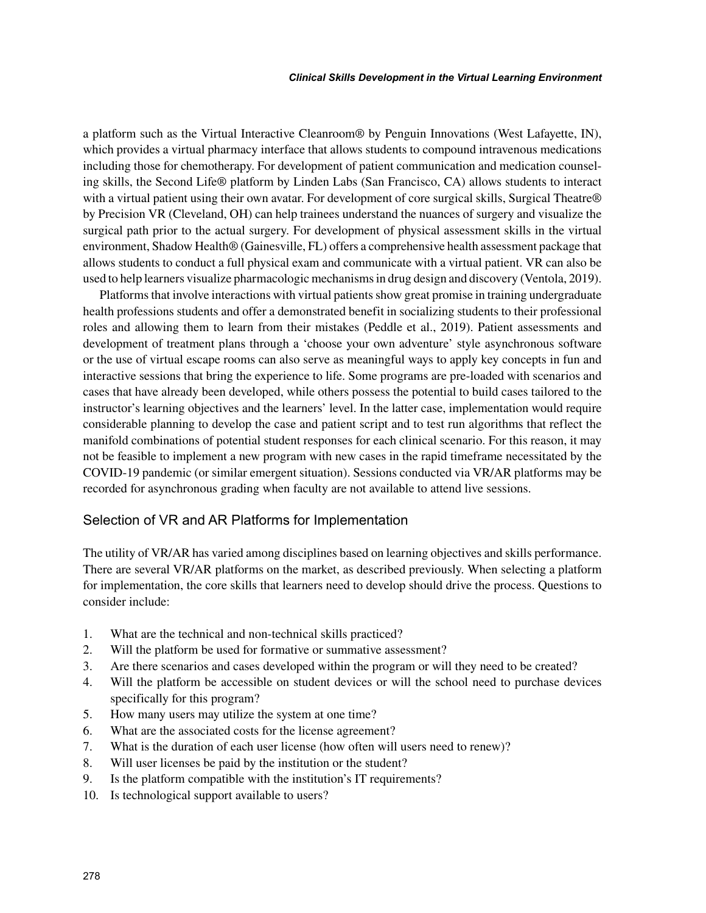a platform such as the Virtual Interactive Cleanroom® by Penguin Innovations (West Lafayette, IN), which provides a virtual pharmacy interface that allows students to compound intravenous medications including those for chemotherapy. For development of patient communication and medication counseling skills, the Second Life® platform by Linden Labs (San Francisco, CA) allows students to interact with a virtual patient using their own avatar. For development of core surgical skills, Surgical Theatre® by Precision VR (Cleveland, OH) can help trainees understand the nuances of surgery and visualize the surgical path prior to the actual surgery. For development of physical assessment skills in the virtual environment, Shadow Health® (Gainesville, FL) offers a comprehensive health assessment package that allows students to conduct a full physical exam and communicate with a virtual patient. VR can also be used to help learners visualize pharmacologic mechanisms in drug design and discovery (Ventola, 2019).

Platforms that involve interactions with virtual patients show great promise in training undergraduate health professions students and offer a demonstrated benefit in socializing students to their professional roles and allowing them to learn from their mistakes (Peddle et al., 2019). Patient assessments and development of treatment plans through a 'choose your own adventure' style asynchronous software or the use of virtual escape rooms can also serve as meaningful ways to apply key concepts in fun and interactive sessions that bring the experience to life. Some programs are pre-loaded with scenarios and cases that have already been developed, while others possess the potential to build cases tailored to the instructor's learning objectives and the learners' level. In the latter case, implementation would require considerable planning to develop the case and patient script and to test run algorithms that reflect the manifold combinations of potential student responses for each clinical scenario. For this reason, it may not be feasible to implement a new program with new cases in the rapid timeframe necessitated by the COVID-19 pandemic (or similar emergent situation). Sessions conducted via VR/AR platforms may be recorded for asynchronous grading when faculty are not available to attend live sessions.

### Selection of VR and AR Platforms for Implementation

The utility of VR/AR has varied among disciplines based on learning objectives and skills performance. There are several VR/AR platforms on the market, as described previously. When selecting a platform for implementation, the core skills that learners need to develop should drive the process. Questions to consider include:

- 1. What are the technical and non-technical skills practiced?
- 2. Will the platform be used for formative or summative assessment?
- 3. Are there scenarios and cases developed within the program or will they need to be created?
- 4. Will the platform be accessible on student devices or will the school need to purchase devices specifically for this program?
- 5. How many users may utilize the system at one time?
- 6. What are the associated costs for the license agreement?
- 7. What is the duration of each user license (how often will users need to renew)?
- 8. Will user licenses be paid by the institution or the student?
- 9. Is the platform compatible with the institution's IT requirements?
- 10. Is technological support available to users?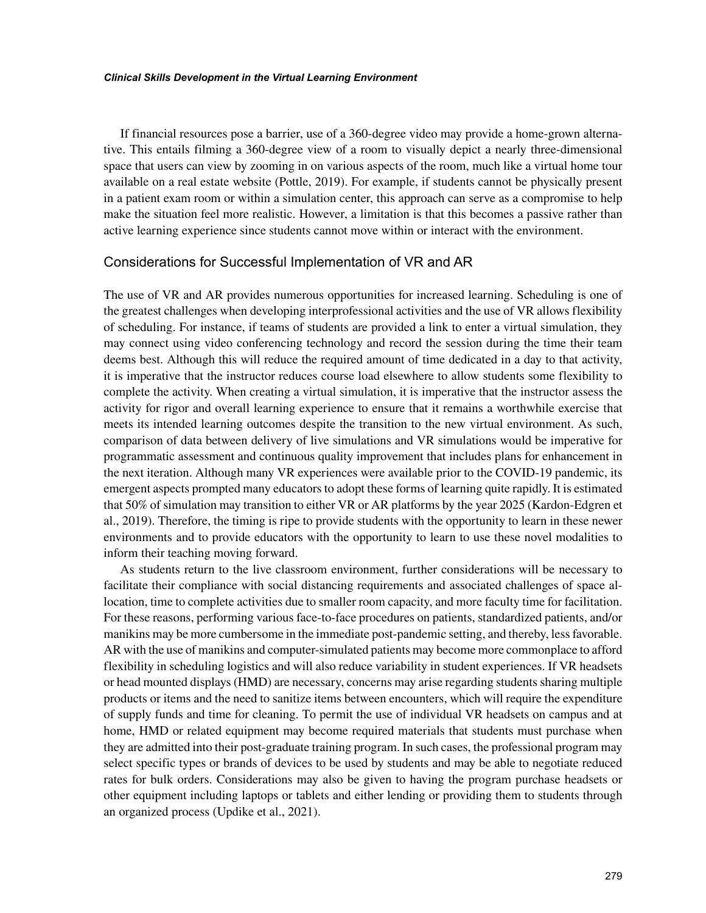If financial resources pose a barrier, use of a 360-degree video may provide a home-grown alternative. This entails filming a 360-degree view of a room to visually depict a nearly three-dimensional space that users can view by zooming in on various aspects of the room, much like a virtual home tour available on a real estate website (Pottle, 2019). For example, if students cannot be physically present in a patient exam room or within a simulation center, this approach can serve as a compromise to help make the situation feel more realistic. However, a limitation is that this becomes a passive rather than active learning experience since students cannot move within or interact with the environment.

#### Considerations for Successful Implementation of VR and AR

The use of VR and AR provides numerous opportunities for increased learning. Scheduling is one of the greatest challenges when developing interprofessional activities and the use of VR allows flexibility of scheduling. For instance, if teams of students are provided a link to enter a virtual simulation, they may connect using video conferencing technology and record the session during the time their team deems best. Although this will reduce the required amount of time dedicated in a day to that activity, it is imperative that the instructor reduces course load elsewhere to allow students some flexibility to complete the activity. When creating a virtual simulation, it is imperative that the instructor assess the activity for rigor and overall learning experience to ensure that it remains a worthwhile exercise that meets its intended learning outcomes despite the transition to the new virtual environment. As such, comparison of data between delivery of live simulations and VR simulations would be imperative for programmatic assessment and continuous quality improvement that includes plans for enhancement in the next iteration. Although many VR experiences were available prior to the COVID-19 pandemic, its emergent aspects prompted many educators to adopt these forms of learning quite rapidly. It is estimated that 50% of simulation may transition to either VR or AR platforms by the year 2025 (Kardon-Edgren et al., 2019). Therefore, the timing is ripe to provide students with the opportunity to learn in these newer environments and to provide educators with the opportunity to learn to use these novel modalities to inform their teaching moving forward.

As students return to the live classroom environment, further considerations will be necessary to facilitate their compliance with social distancing requirements and associated challenges of space allocation, time to complete activities due to smaller room capacity, and more faculty time for facilitation. For these reasons, performing various face-to-face procedures on patients, standardized patients, and/or manikins may be more cumbersome in the immediate post-pandemic setting, and thereby, less favorable. AR with the use of manikins and computer-simulated patients may become more commonplace to afford flexibility in scheduling logistics and will also reduce variability in student experiences. If VR headsets or head mounted displays (HMD) are necessary, concerns may arise regarding students sharing multiple products or items and the need to sanitize items between encounters, which will require the expenditure of supply funds and time for cleaning. To permit the use of individual VR headsets on campus and at home, HMD or related equipment may become required materials that students must purchase when they are admitted into their post-graduate training program. In such cases, the professional program may select specific types or brands of devices to be used by students and may be able to negotiate reduced rates for bulk orders. Considerations may also be given to having the program purchase headsets or other equipment including laptops or tablets and either lending or providing them to students through an organized process (Updike et al., 2021).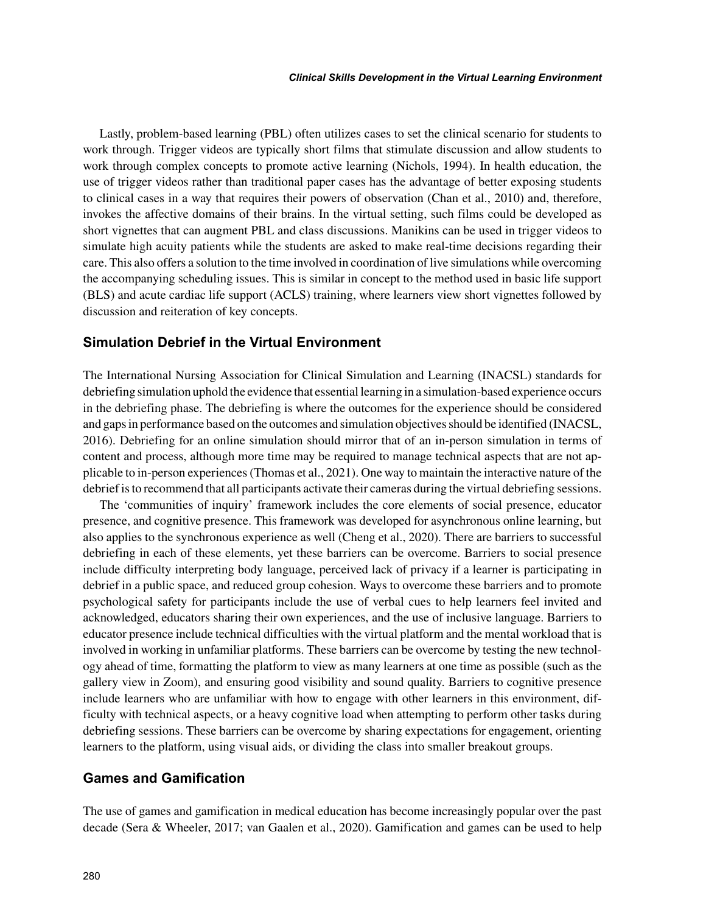Lastly, problem-based learning (PBL) often utilizes cases to set the clinical scenario for students to work through. Trigger videos are typically short films that stimulate discussion and allow students to work through complex concepts to promote active learning (Nichols, 1994). In health education, the use of trigger videos rather than traditional paper cases has the advantage of better exposing students to clinical cases in a way that requires their powers of observation (Chan et al., 2010) and, therefore, invokes the affective domains of their brains. In the virtual setting, such films could be developed as short vignettes that can augment PBL and class discussions. Manikins can be used in trigger videos to simulate high acuity patients while the students are asked to make real-time decisions regarding their care. This also offers a solution to the time involved in coordination of live simulations while overcoming the accompanying scheduling issues. This is similar in concept to the method used in basic life support (BLS) and acute cardiac life support (ACLS) training, where learners view short vignettes followed by discussion and reiteration of key concepts.

# **Simulation Debrief in the Virtual Environment**

The International Nursing Association for Clinical Simulation and Learning (INACSL) standards for debriefing simulation uphold the evidence that essential learning in a simulation-based experience occurs in the debriefing phase. The debriefing is where the outcomes for the experience should be considered and gaps in performance based on the outcomes and simulation objectives should be identified (INACSL, 2016). Debriefing for an online simulation should mirror that of an in-person simulation in terms of content and process, although more time may be required to manage technical aspects that are not applicable to in-person experiences (Thomas et al., 2021). One way to maintain the interactive nature of the debrief is to recommend that all participants activate their cameras during the virtual debriefing sessions.

The 'communities of inquiry' framework includes the core elements of social presence, educator presence, and cognitive presence. This framework was developed for asynchronous online learning, but also applies to the synchronous experience as well (Cheng et al., 2020). There are barriers to successful debriefing in each of these elements, yet these barriers can be overcome. Barriers to social presence include difficulty interpreting body language, perceived lack of privacy if a learner is participating in debrief in a public space, and reduced group cohesion. Ways to overcome these barriers and to promote psychological safety for participants include the use of verbal cues to help learners feel invited and acknowledged, educators sharing their own experiences, and the use of inclusive language. Barriers to educator presence include technical difficulties with the virtual platform and the mental workload that is involved in working in unfamiliar platforms. These barriers can be overcome by testing the new technology ahead of time, formatting the platform to view as many learners at one time as possible (such as the gallery view in Zoom), and ensuring good visibility and sound quality. Barriers to cognitive presence include learners who are unfamiliar with how to engage with other learners in this environment, difficulty with technical aspects, or a heavy cognitive load when attempting to perform other tasks during debriefing sessions. These barriers can be overcome by sharing expectations for engagement, orienting learners to the platform, using visual aids, or dividing the class into smaller breakout groups.

## **Games and Gamification**

The use of games and gamification in medical education has become increasingly popular over the past decade (Sera & Wheeler, 2017; van Gaalen et al., 2020). Gamification and games can be used to help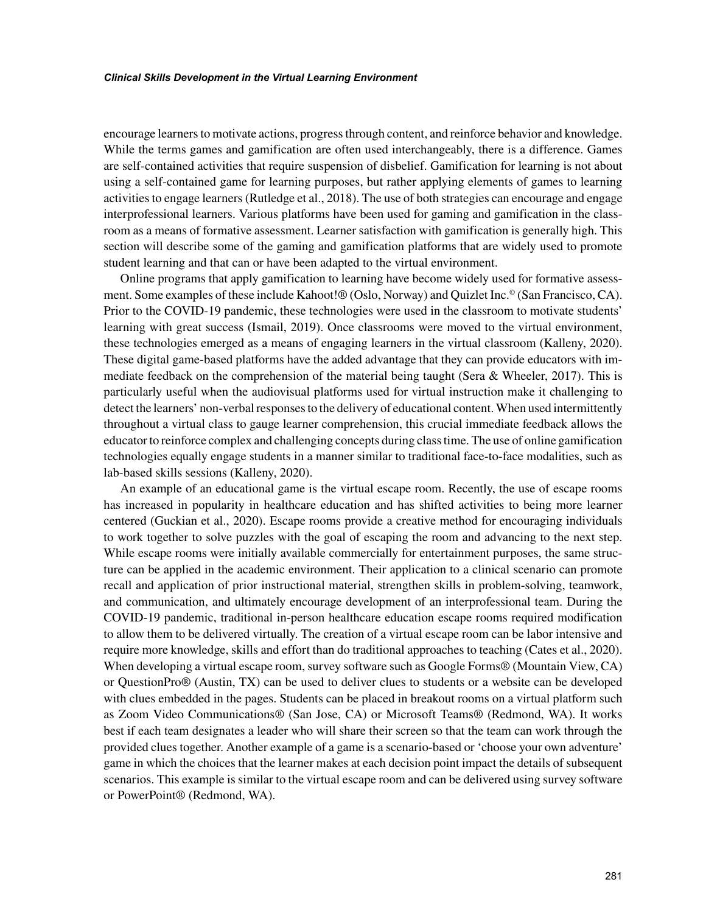encourage learners to motivate actions, progress through content, and reinforce behavior and knowledge. While the terms games and gamification are often used interchangeably, there is a difference. Games are self-contained activities that require suspension of disbelief. Gamification for learning is not about using a self-contained game for learning purposes, but rather applying elements of games to learning activities to engage learners (Rutledge et al., 2018). The use of both strategies can encourage and engage interprofessional learners. Various platforms have been used for gaming and gamification in the classroom as a means of formative assessment. Learner satisfaction with gamification is generally high. This section will describe some of the gaming and gamification platforms that are widely used to promote student learning and that can or have been adapted to the virtual environment.

Online programs that apply gamification to learning have become widely used for formative assessment. Some examples of these include Kahoot!® (Oslo, Norway) and Quizlet Inc.© (San Francisco, CA). Prior to the COVID-19 pandemic, these technologies were used in the classroom to motivate students' learning with great success (Ismail, 2019). Once classrooms were moved to the virtual environment, these technologies emerged as a means of engaging learners in the virtual classroom (Kalleny, 2020). These digital game-based platforms have the added advantage that they can provide educators with immediate feedback on the comprehension of the material being taught (Sera & Wheeler, 2017). This is particularly useful when the audiovisual platforms used for virtual instruction make it challenging to detect the learners' non-verbal responses to the delivery of educational content. When used intermittently throughout a virtual class to gauge learner comprehension, this crucial immediate feedback allows the educator to reinforce complex and challenging concepts during class time. The use of online gamification technologies equally engage students in a manner similar to traditional face-to-face modalities, such as lab-based skills sessions (Kalleny, 2020).

An example of an educational game is the virtual escape room. Recently, the use of escape rooms has increased in popularity in healthcare education and has shifted activities to being more learner centered (Guckian et al., 2020). Escape rooms provide a creative method for encouraging individuals to work together to solve puzzles with the goal of escaping the room and advancing to the next step. While escape rooms were initially available commercially for entertainment purposes, the same structure can be applied in the academic environment. Their application to a clinical scenario can promote recall and application of prior instructional material, strengthen skills in problem-solving, teamwork, and communication, and ultimately encourage development of an interprofessional team. During the COVID-19 pandemic, traditional in-person healthcare education escape rooms required modification to allow them to be delivered virtually. The creation of a virtual escape room can be labor intensive and require more knowledge, skills and effort than do traditional approaches to teaching (Cates et al., 2020). When developing a virtual escape room, survey software such as Google Forms® (Mountain View, CA) or QuestionPro® (Austin, TX) can be used to deliver clues to students or a website can be developed with clues embedded in the pages. Students can be placed in breakout rooms on a virtual platform such as Zoom Video Communications® (San Jose, CA) or Microsoft Teams® (Redmond, WA). It works best if each team designates a leader who will share their screen so that the team can work through the provided clues together. Another example of a game is a scenario-based or 'choose your own adventure' game in which the choices that the learner makes at each decision point impact the details of subsequent scenarios. This example is similar to the virtual escape room and can be delivered using survey software or PowerPoint® (Redmond, WA).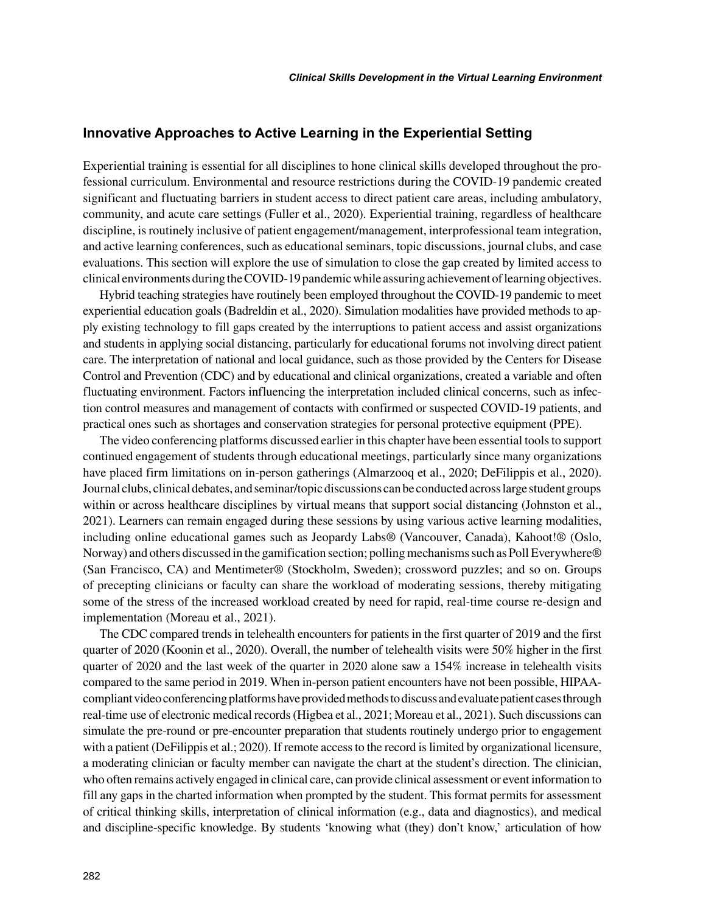#### **Innovative Approaches to Active Learning in the Experiential Setting**

Experiential training is essential for all disciplines to hone clinical skills developed throughout the professional curriculum. Environmental and resource restrictions during the COVID-19 pandemic created significant and fluctuating barriers in student access to direct patient care areas, including ambulatory, community, and acute care settings (Fuller et al., 2020). Experiential training, regardless of healthcare discipline, is routinely inclusive of patient engagement/management, interprofessional team integration, and active learning conferences, such as educational seminars, topic discussions, journal clubs, and case evaluations. This section will explore the use of simulation to close the gap created by limited access to clinical environments during the COVID-19 pandemic while assuring achievement of learning objectives.

Hybrid teaching strategies have routinely been employed throughout the COVID-19 pandemic to meet experiential education goals (Badreldin et al., 2020). Simulation modalities have provided methods to apply existing technology to fill gaps created by the interruptions to patient access and assist organizations and students in applying social distancing, particularly for educational forums not involving direct patient care. The interpretation of national and local guidance, such as those provided by the Centers for Disease Control and Prevention (CDC) and by educational and clinical organizations, created a variable and often fluctuating environment. Factors influencing the interpretation included clinical concerns, such as infection control measures and management of contacts with confirmed or suspected COVID-19 patients, and practical ones such as shortages and conservation strategies for personal protective equipment (PPE).

The video conferencing platforms discussed earlier in this chapter have been essential tools to support continued engagement of students through educational meetings, particularly since many organizations have placed firm limitations on in-person gatherings (Almarzooq et al., 2020; DeFilippis et al., 2020). Journal clubs, clinical debates, and seminar/topic discussions can be conducted across large student groups within or across healthcare disciplines by virtual means that support social distancing (Johnston et al., 2021). Learners can remain engaged during these sessions by using various active learning modalities, including online educational games such as Jeopardy Labs® (Vancouver, Canada), Kahoot!® (Oslo, Norway) and others discussed in the gamification section; polling mechanisms such as Poll Everywhere® (San Francisco, CA) and Mentimeter® (Stockholm, Sweden); crossword puzzles; and so on. Groups of precepting clinicians or faculty can share the workload of moderating sessions, thereby mitigating some of the stress of the increased workload created by need for rapid, real-time course re-design and implementation (Moreau et al., 2021).

The CDC compared trends in telehealth encounters for patients in the first quarter of 2019 and the first quarter of 2020 (Koonin et al., 2020). Overall, the number of telehealth visits were 50% higher in the first quarter of 2020 and the last week of the quarter in 2020 alone saw a 154% increase in telehealth visits compared to the same period in 2019. When in-person patient encounters have not been possible, HIPAAcompliant video conferencing platforms have provided methods to discuss and evaluate patient cases through real-time use of electronic medical records (Higbea et al., 2021; Moreau et al., 2021). Such discussions can simulate the pre-round or pre-encounter preparation that students routinely undergo prior to engagement with a patient (DeFilippis et al.; 2020). If remote access to the record is limited by organizational licensure, a moderating clinician or faculty member can navigate the chart at the student's direction. The clinician, who often remains actively engaged in clinical care, can provide clinical assessment or event information to fill any gaps in the charted information when prompted by the student. This format permits for assessment of critical thinking skills, interpretation of clinical information (e.g., data and diagnostics), and medical and discipline-specific knowledge. By students 'knowing what (they) don't know,' articulation of how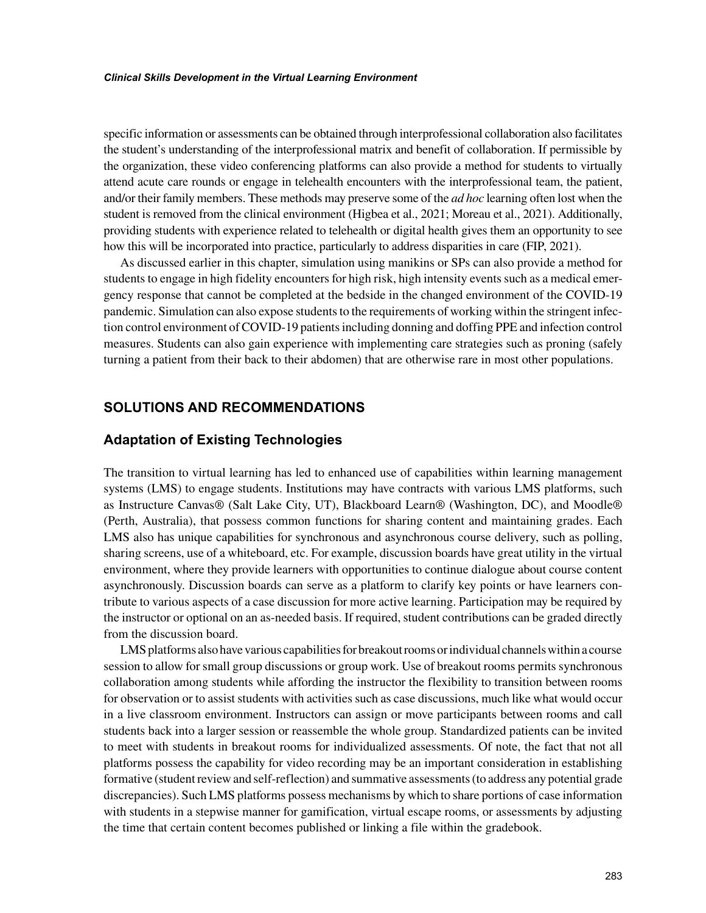specific information or assessments can be obtained through interprofessional collaboration also facilitates the student's understanding of the interprofessional matrix and benefit of collaboration. If permissible by the organization, these video conferencing platforms can also provide a method for students to virtually attend acute care rounds or engage in telehealth encounters with the interprofessional team, the patient, and/or their family members. These methods may preserve some of the *ad hoc* learning often lost when the student is removed from the clinical environment (Higbea et al., 2021; Moreau et al., 2021). Additionally, providing students with experience related to telehealth or digital health gives them an opportunity to see how this will be incorporated into practice, particularly to address disparities in care (FIP, 2021).

As discussed earlier in this chapter, simulation using manikins or SPs can also provide a method for students to engage in high fidelity encounters for high risk, high intensity events such as a medical emergency response that cannot be completed at the bedside in the changed environment of the COVID-19 pandemic. Simulation can also expose students to the requirements of working within the stringent infection control environment of COVID-19 patients including donning and doffing PPE and infection control measures. Students can also gain experience with implementing care strategies such as proning (safely turning a patient from their back to their abdomen) that are otherwise rare in most other populations.

# **SOLUTIONS AND RECOMMENDATIONS**

## **Adaptation of Existing Technologies**

The transition to virtual learning has led to enhanced use of capabilities within learning management systems (LMS) to engage students. Institutions may have contracts with various LMS platforms, such as Instructure Canvas® (Salt Lake City, UT), Blackboard Learn® (Washington, DC), and Moodle® (Perth, Australia), that possess common functions for sharing content and maintaining grades. Each LMS also has unique capabilities for synchronous and asynchronous course delivery, such as polling, sharing screens, use of a whiteboard, etc. For example, discussion boards have great utility in the virtual environment, where they provide learners with opportunities to continue dialogue about course content asynchronously. Discussion boards can serve as a platform to clarify key points or have learners contribute to various aspects of a case discussion for more active learning. Participation may be required by the instructor or optional on an as-needed basis. If required, student contributions can be graded directly from the discussion board.

LMS platforms also have various capabilities for breakout rooms or individual channels within a course session to allow for small group discussions or group work. Use of breakout rooms permits synchronous collaboration among students while affording the instructor the flexibility to transition between rooms for observation or to assist students with activities such as case discussions, much like what would occur in a live classroom environment. Instructors can assign or move participants between rooms and call students back into a larger session or reassemble the whole group. Standardized patients can be invited to meet with students in breakout rooms for individualized assessments. Of note, the fact that not all platforms possess the capability for video recording may be an important consideration in establishing formative (student review and self-reflection) and summative assessments (to address any potential grade discrepancies). Such LMS platforms possess mechanisms by which to share portions of case information with students in a stepwise manner for gamification, virtual escape rooms, or assessments by adjusting the time that certain content becomes published or linking a file within the gradebook.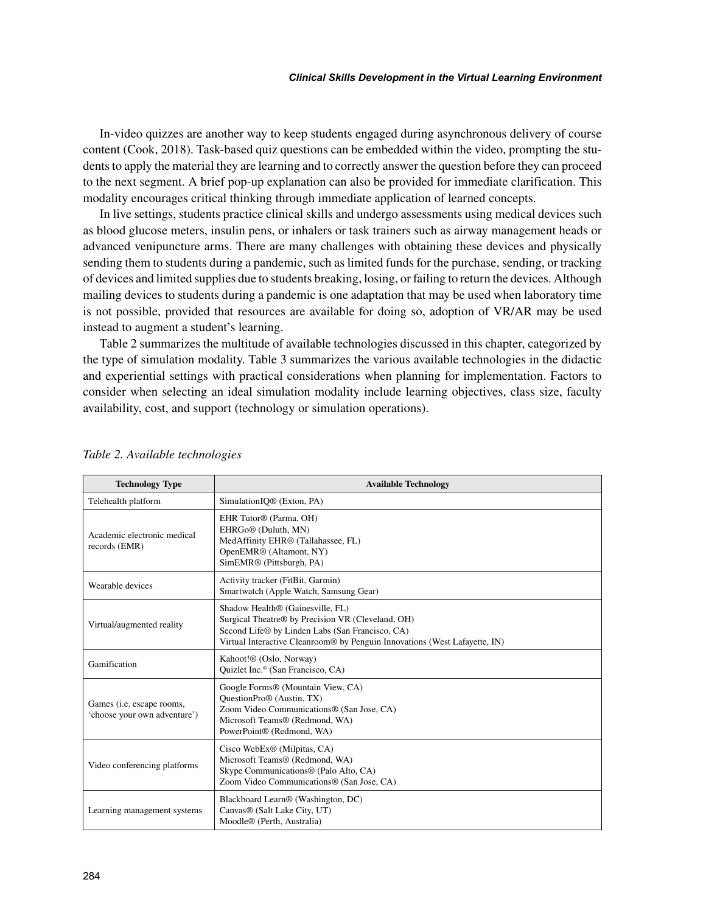In-video quizzes are another way to keep students engaged during asynchronous delivery of course content (Cook, 2018). Task-based quiz questions can be embedded within the video, prompting the students to apply the material they are learning and to correctly answer the question before they can proceed to the next segment. A brief pop-up explanation can also be provided for immediate clarification. This modality encourages critical thinking through immediate application of learned concepts.

In live settings, students practice clinical skills and undergo assessments using medical devices such as blood glucose meters, insulin pens, or inhalers or task trainers such as airway management heads or advanced venipuncture arms. There are many challenges with obtaining these devices and physically sending them to students during a pandemic, such as limited funds for the purchase, sending, or tracking of devices and limited supplies due to students breaking, losing, or failing to return the devices. Although mailing devices to students during a pandemic is one adaptation that may be used when laboratory time is not possible, provided that resources are available for doing so, adoption of VR/AR may be used instead to augment a student's learning.

Table 2 summarizes the multitude of available technologies discussed in this chapter, categorized by the type of simulation modality. Table 3 summarizes the various available technologies in the didactic and experiential settings with practical considerations when planning for implementation. Factors to consider when selecting an ideal simulation modality include learning objectives, class size, faculty availability, cost, and support (technology or simulation operations).

| <b>Technology Type</b>                                    | <b>Available Technology</b>                                                                                                                                                                                                        |
|-----------------------------------------------------------|------------------------------------------------------------------------------------------------------------------------------------------------------------------------------------------------------------------------------------|
| Telehealth platform                                       | SimulationIO <sup>®</sup> (Exton, PA)                                                                                                                                                                                              |
| Academic electronic medical<br>records (EMR)              | EHR Tutor <sup>®</sup> (Parma, OH)<br>EHRGo <sup>®</sup> (Duluth, MN)<br>MedAffinity EHR® (Tallahassee, FL)<br>OpenEMR® (Altamont, NY)<br>SimEMR® (Pittsburgh, PA)                                                                 |
| Wearable devices                                          | Activity tracker (FitBit, Garmin)<br>Smartwatch (Apple Watch, Samsung Gear)                                                                                                                                                        |
| Virtual/augmented reality                                 | Shadow Health <sup>®</sup> (Gainesville, FL)<br>Surgical Theatre® by Precision VR (Cleveland, OH)<br>Second Life® by Linden Labs (San Francisco, CA)<br>Virtual Interactive Cleanroom® by Penguin Innovations (West Lafayette, IN) |
| Gamification                                              | Kahoot!® (Oslo, Norway)<br>Quizlet Inc. <sup>®</sup> (San Francisco, CA)                                                                                                                                                           |
| Games (i.e. escape rooms,<br>'choose your own adventure') | Google Forms® (Mountain View, CA)<br>QuestionPro® (Austin, TX)<br>Zoom Video Communications® (San Jose, CA)<br>Microsoft Teams® (Redmond, WA)<br>PowerPoint® (Redmond, WA)                                                         |
| Video conferencing platforms                              | Cisco WebEx® (Milpitas, CA)<br>Microsoft Teams® (Redmond, WA)<br>Skype Communications® (Palo Alto, CA)<br>Zoom Video Communications® (San Jose, CA)                                                                                |
| Learning management systems                               | Blackboard Learn <sup>®</sup> (Washington, DC)<br>Canvas® (Salt Lake City, UT)<br>Moodle® (Perth, Australia)                                                                                                                       |

#### *Table 2. Available technologies*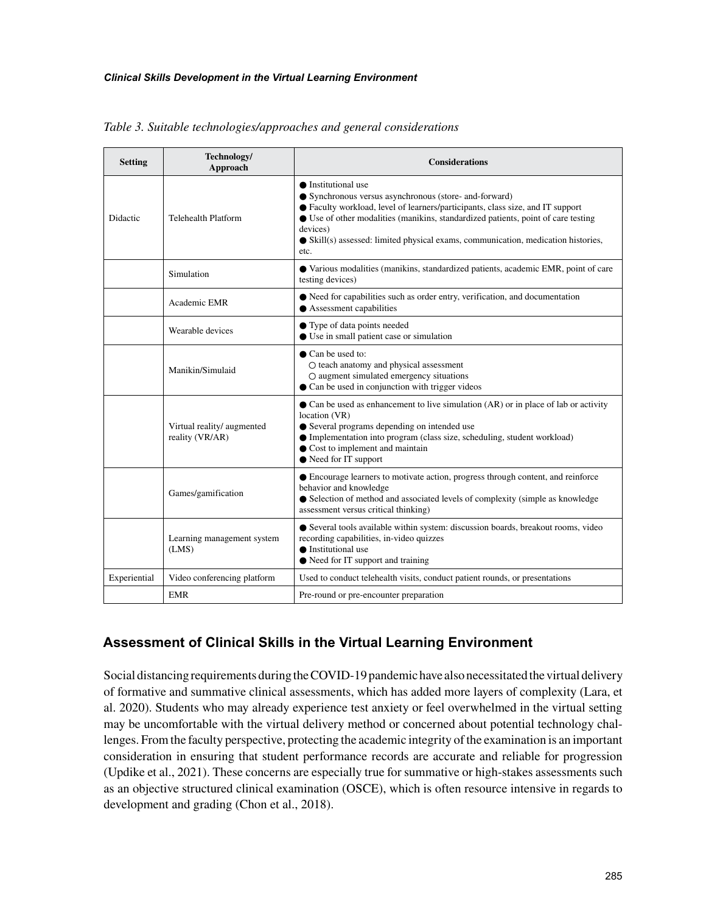| <b>Setting</b> | Technology/<br>Approach                       | <b>Considerations</b>                                                                                                                                                                                                                                                                                                                                                 |
|----------------|-----------------------------------------------|-----------------------------------------------------------------------------------------------------------------------------------------------------------------------------------------------------------------------------------------------------------------------------------------------------------------------------------------------------------------------|
| Didactic       | <b>Telehealth Platform</b>                    | $\bullet$ Institutional use<br>• Synchronous versus asynchronous (store- and-forward)<br>● Faculty workload, level of learners/participants, class size, and IT support<br>• Use of other modalities (manikins, standardized patients, point of care testing<br>devices)<br>• Skill(s) assessed: limited physical exams, communication, medication histories,<br>etc. |
|                | Simulation                                    | • Various modalities (manikins, standardized patients, academic EMR, point of care<br>testing devices)                                                                                                                                                                                                                                                                |
|                | Academic EMR                                  | $\bullet$ Need for capabilities such as order entry, verification, and documentation<br>$\bullet$ Assessment capabilities                                                                                                                                                                                                                                             |
|                | Wearable devices                              | • Type of data points needed<br>• Use in small patient case or simulation                                                                                                                                                                                                                                                                                             |
|                | Manikin/Simulaid                              | • Can be used to:<br>O teach anatomy and physical assessment<br>O augment simulated emergency situations<br>• Can be used in conjunction with trigger videos                                                                                                                                                                                                          |
|                | Virtual reality/ augmented<br>reality (VR/AR) | • Can be used as enhancement to live simulation (AR) or in place of lab or activity<br>location (VR)<br>• Several programs depending on intended use<br>• Implementation into program (class size, scheduling, student workload)<br>Cost to implement and maintain<br>• Need for IT support                                                                           |
|                | Games/gamification                            | • Encourage learners to motivate action, progress through content, and reinforce<br>behavior and knowledge<br>• Selection of method and associated levels of complexity (simple as knowledge)<br>assessment versus critical thinking)                                                                                                                                 |
|                | Learning management system<br>(LMS)           | • Several tools available within system: discussion boards, breakout rooms, video<br>recording capabilities, in-video quizzes<br>$\bullet$ Institutional use<br>• Need for IT support and training                                                                                                                                                                    |
| Experiential   | Video conferencing platform                   | Used to conduct telehealth visits, conduct patient rounds, or presentations                                                                                                                                                                                                                                                                                           |
|                | <b>EMR</b>                                    | Pre-round or pre-encounter preparation                                                                                                                                                                                                                                                                                                                                |

*Table 3. Suitable technologies/approaches and general considerations*

# **Assessment of Clinical Skills in the Virtual Learning Environment**

Social distancing requirements during the COVID-19 pandemic have also necessitated the virtual delivery of formative and summative clinical assessments, which has added more layers of complexity (Lara, et al. 2020). Students who may already experience test anxiety or feel overwhelmed in the virtual setting may be uncomfortable with the virtual delivery method or concerned about potential technology challenges. From the faculty perspective, protecting the academic integrity of the examination is an important consideration in ensuring that student performance records are accurate and reliable for progression (Updike et al., 2021). These concerns are especially true for summative or high-stakes assessments such as an objective structured clinical examination (OSCE), which is often resource intensive in regards to development and grading (Chon et al., 2018).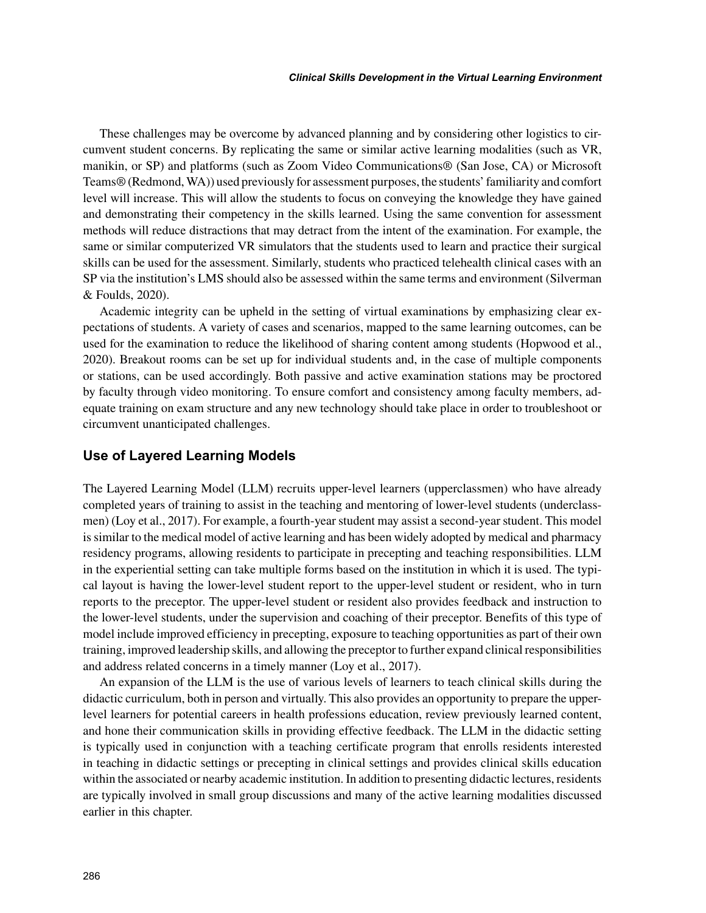These challenges may be overcome by advanced planning and by considering other logistics to circumvent student concerns. By replicating the same or similar active learning modalities (such as VR, manikin, or SP) and platforms (such as Zoom Video Communications® (San Jose, CA) or Microsoft Teams® (Redmond, WA)) used previously for assessment purposes, the students' familiarity and comfort level will increase. This will allow the students to focus on conveying the knowledge they have gained and demonstrating their competency in the skills learned. Using the same convention for assessment methods will reduce distractions that may detract from the intent of the examination. For example, the same or similar computerized VR simulators that the students used to learn and practice their surgical skills can be used for the assessment. Similarly, students who practiced telehealth clinical cases with an SP via the institution's LMS should also be assessed within the same terms and environment (Silverman & Foulds, 2020).

Academic integrity can be upheld in the setting of virtual examinations by emphasizing clear expectations of students. A variety of cases and scenarios, mapped to the same learning outcomes, can be used for the examination to reduce the likelihood of sharing content among students (Hopwood et al., 2020). Breakout rooms can be set up for individual students and, in the case of multiple components or stations, can be used accordingly. Both passive and active examination stations may be proctored by faculty through video monitoring. To ensure comfort and consistency among faculty members, adequate training on exam structure and any new technology should take place in order to troubleshoot or circumvent unanticipated challenges.

#### **Use of Layered Learning Models**

The Layered Learning Model (LLM) recruits upper-level learners (upperclassmen) who have already completed years of training to assist in the teaching and mentoring of lower-level students (underclassmen) (Loy et al., 2017). For example, a fourth-year student may assist a second-year student. This model is similar to the medical model of active learning and has been widely adopted by medical and pharmacy residency programs, allowing residents to participate in precepting and teaching responsibilities. LLM in the experiential setting can take multiple forms based on the institution in which it is used. The typical layout is having the lower-level student report to the upper-level student or resident, who in turn reports to the preceptor. The upper-level student or resident also provides feedback and instruction to the lower-level students, under the supervision and coaching of their preceptor. Benefits of this type of model include improved efficiency in precepting, exposure to teaching opportunities as part of their own training, improved leadership skills, and allowing the preceptor to further expand clinical responsibilities and address related concerns in a timely manner (Loy et al., 2017).

An expansion of the LLM is the use of various levels of learners to teach clinical skills during the didactic curriculum, both in person and virtually. This also provides an opportunity to prepare the upperlevel learners for potential careers in health professions education, review previously learned content, and hone their communication skills in providing effective feedback. The LLM in the didactic setting is typically used in conjunction with a teaching certificate program that enrolls residents interested in teaching in didactic settings or precepting in clinical settings and provides clinical skills education within the associated or nearby academic institution. In addition to presenting didactic lectures, residents are typically involved in small group discussions and many of the active learning modalities discussed earlier in this chapter.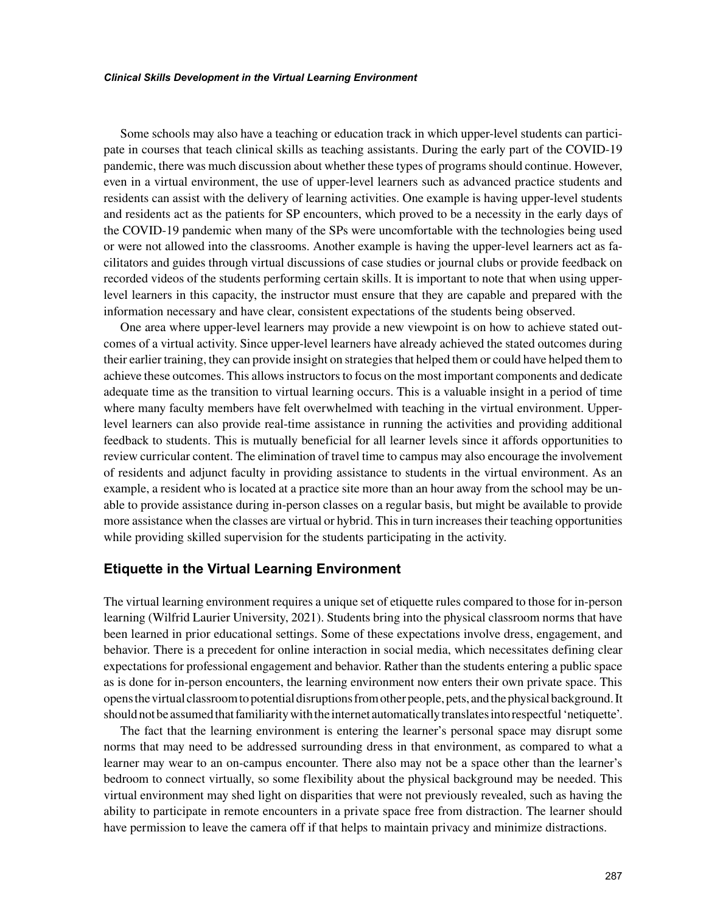Some schools may also have a teaching or education track in which upper-level students can participate in courses that teach clinical skills as teaching assistants. During the early part of the COVID-19 pandemic, there was much discussion about whether these types of programs should continue. However, even in a virtual environment, the use of upper-level learners such as advanced practice students and residents can assist with the delivery of learning activities. One example is having upper-level students and residents act as the patients for SP encounters, which proved to be a necessity in the early days of the COVID-19 pandemic when many of the SPs were uncomfortable with the technologies being used or were not allowed into the classrooms. Another example is having the upper-level learners act as facilitators and guides through virtual discussions of case studies or journal clubs or provide feedback on recorded videos of the students performing certain skills. It is important to note that when using upperlevel learners in this capacity, the instructor must ensure that they are capable and prepared with the information necessary and have clear, consistent expectations of the students being observed.

One area where upper-level learners may provide a new viewpoint is on how to achieve stated outcomes of a virtual activity. Since upper-level learners have already achieved the stated outcomes during their earlier training, they can provide insight on strategies that helped them or could have helped them to achieve these outcomes. This allows instructors to focus on the most important components and dedicate adequate time as the transition to virtual learning occurs. This is a valuable insight in a period of time where many faculty members have felt overwhelmed with teaching in the virtual environment. Upperlevel learners can also provide real-time assistance in running the activities and providing additional feedback to students. This is mutually beneficial for all learner levels since it affords opportunities to review curricular content. The elimination of travel time to campus may also encourage the involvement of residents and adjunct faculty in providing assistance to students in the virtual environment. As an example, a resident who is located at a practice site more than an hour away from the school may be unable to provide assistance during in-person classes on a regular basis, but might be available to provide more assistance when the classes are virtual or hybrid. This in turn increases their teaching opportunities while providing skilled supervision for the students participating in the activity.

#### **Etiquette in the Virtual Learning Environment**

The virtual learning environment requires a unique set of etiquette rules compared to those for in-person learning (Wilfrid Laurier University, 2021). Students bring into the physical classroom norms that have been learned in prior educational settings. Some of these expectations involve dress, engagement, and behavior. There is a precedent for online interaction in social media, which necessitates defining clear expectations for professional engagement and behavior. Rather than the students entering a public space as is done for in-person encounters, the learning environment now enters their own private space. This opens the virtual classroom to potential disruptions from other people, pets, and the physical background. It should not be assumed that familiarity with the internet automatically translates into respectful 'netiquette'.

The fact that the learning environment is entering the learner's personal space may disrupt some norms that may need to be addressed surrounding dress in that environment, as compared to what a learner may wear to an on-campus encounter. There also may not be a space other than the learner's bedroom to connect virtually, so some flexibility about the physical background may be needed. This virtual environment may shed light on disparities that were not previously revealed, such as having the ability to participate in remote encounters in a private space free from distraction. The learner should have permission to leave the camera off if that helps to maintain privacy and minimize distractions.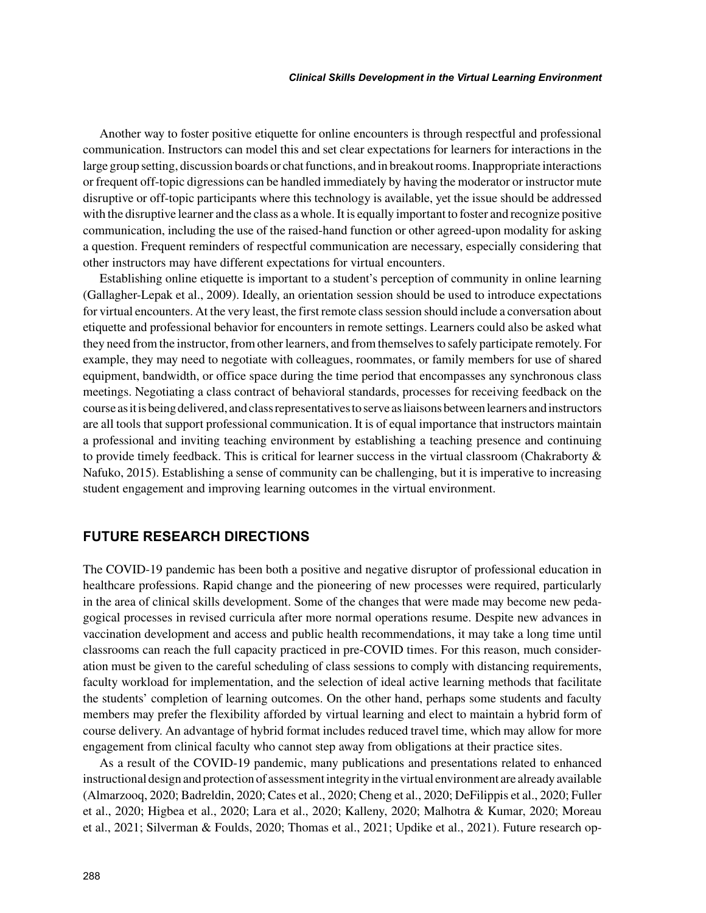Another way to foster positive etiquette for online encounters is through respectful and professional communication. Instructors can model this and set clear expectations for learners for interactions in the large group setting, discussion boards or chat functions, and in breakout rooms. Inappropriate interactions or frequent off-topic digressions can be handled immediately by having the moderator or instructor mute disruptive or off-topic participants where this technology is available, yet the issue should be addressed with the disruptive learner and the class as a whole. It is equally important to foster and recognize positive communication, including the use of the raised-hand function or other agreed-upon modality for asking a question. Frequent reminders of respectful communication are necessary, especially considering that other instructors may have different expectations for virtual encounters.

Establishing online etiquette is important to a student's perception of community in online learning (Gallagher-Lepak et al., 2009). Ideally, an orientation session should be used to introduce expectations for virtual encounters. At the very least, the first remote class session should include a conversation about etiquette and professional behavior for encounters in remote settings. Learners could also be asked what they need from the instructor, from other learners, and from themselves to safely participate remotely. For example, they may need to negotiate with colleagues, roommates, or family members for use of shared equipment, bandwidth, or office space during the time period that encompasses any synchronous class meetings. Negotiating a class contract of behavioral standards, processes for receiving feedback on the course as it is being delivered, and class representatives to serve as liaisons between learners and instructors are all tools that support professional communication. It is of equal importance that instructors maintain a professional and inviting teaching environment by establishing a teaching presence and continuing to provide timely feedback. This is critical for learner success in the virtual classroom (Chakraborty & Nafuko, 2015). Establishing a sense of community can be challenging, but it is imperative to increasing student engagement and improving learning outcomes in the virtual environment.

## **FUTURE RESEARCH DIRECTIONS**

The COVID-19 pandemic has been both a positive and negative disruptor of professional education in healthcare professions. Rapid change and the pioneering of new processes were required, particularly in the area of clinical skills development. Some of the changes that were made may become new pedagogical processes in revised curricula after more normal operations resume. Despite new advances in vaccination development and access and public health recommendations, it may take a long time until classrooms can reach the full capacity practiced in pre-COVID times. For this reason, much consideration must be given to the careful scheduling of class sessions to comply with distancing requirements, faculty workload for implementation, and the selection of ideal active learning methods that facilitate the students' completion of learning outcomes. On the other hand, perhaps some students and faculty members may prefer the flexibility afforded by virtual learning and elect to maintain a hybrid form of course delivery. An advantage of hybrid format includes reduced travel time, which may allow for more engagement from clinical faculty who cannot step away from obligations at their practice sites.

As a result of the COVID-19 pandemic, many publications and presentations related to enhanced instructional design and protection of assessment integrity in the virtual environment are already available (Almarzooq, 2020; Badreldin, 2020; Cates et al., 2020; Cheng et al., 2020; DeFilippis et al., 2020; Fuller et al., 2020; Higbea et al., 2020; Lara et al., 2020; Kalleny, 2020; Malhotra & Kumar, 2020; Moreau et al., 2021; Silverman & Foulds, 2020; Thomas et al., 2021; Updike et al., 2021). Future research op-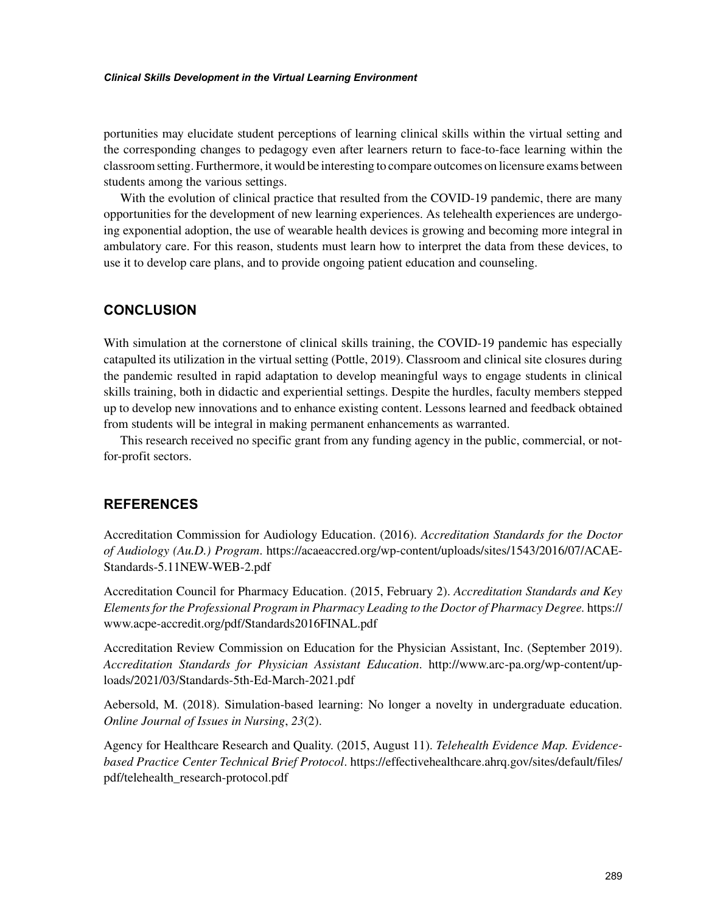portunities may elucidate student perceptions of learning clinical skills within the virtual setting and the corresponding changes to pedagogy even after learners return to face-to-face learning within the classroom setting. Furthermore, it would be interesting to compare outcomes on licensure exams between students among the various settings.

With the evolution of clinical practice that resulted from the COVID-19 pandemic, there are many opportunities for the development of new learning experiences. As telehealth experiences are undergoing exponential adoption, the use of wearable health devices is growing and becoming more integral in ambulatory care. For this reason, students must learn how to interpret the data from these devices, to use it to develop care plans, and to provide ongoing patient education and counseling.

# **CONCLUSION**

With simulation at the cornerstone of clinical skills training, the COVID-19 pandemic has especially catapulted its utilization in the virtual setting (Pottle, 2019). Classroom and clinical site closures during the pandemic resulted in rapid adaptation to develop meaningful ways to engage students in clinical skills training, both in didactic and experiential settings. Despite the hurdles, faculty members stepped up to develop new innovations and to enhance existing content. Lessons learned and feedback obtained from students will be integral in making permanent enhancements as warranted.

This research received no specific grant from any funding agency in the public, commercial, or notfor-profit sectors.

### **REFERENCES**

Accreditation Commission for Audiology Education. (2016). *Accreditation Standards for the Doctor of Audiology (Au.D.) Program*. [https://acaeaccred.org/wp-content/uploads/sites/1543/2016/07/ACAE-](https://acaeaccred.org/wp-content/uploads/sites/1543/2016/07/ACAE-Standards-5.11NEW-WEB-2.pdf)[Standards-5.11NEW-WEB-2.pdf](https://acaeaccred.org/wp-content/uploads/sites/1543/2016/07/ACAE-Standards-5.11NEW-WEB-2.pdf)

Accreditation Council for Pharmacy Education. (2015, February 2). *Accreditation Standards and Key Elements for the Professional Program in Pharmacy Leading to the Doctor of Pharmacy Degree.* [https://](https://www.acpe-accredit.org/pdf/Standards2016FINAL.pdf) [www.acpe-accredit.org/pdf/Standards2016FINAL.pdf](https://www.acpe-accredit.org/pdf/Standards2016FINAL.pdf)

Accreditation Review Commission on Education for the Physician Assistant, Inc. (September 2019). *Accreditation Standards for Physician Assistant Education*. [http://www.arc-pa.org/wp-content/up](http://www.arc-pa.org/wp-content/uploads/2021/03/Standards-5th-Ed-March-2021.pdf)[loads/2021/03/Standards-5th-Ed-March-2021.pdf](http://www.arc-pa.org/wp-content/uploads/2021/03/Standards-5th-Ed-March-2021.pdf)

Aebersold, M. (2018). Simulation-based learning: No longer a novelty in undergraduate education. *Online Journal of Issues in Nursing*, *23*(2).

Agency for Healthcare Research and Quality. (2015, August 11). *Telehealth Evidence Map. Evidencebased Practice Center Technical Brief Protocol*. [https://effectivehealthcare.ahrq.gov/sites/default/files/](https://effectivehealthcare.ahrq.gov/sites/default/files/pdf/telehealth_research-protocol.pdf) [pdf/telehealth\\_research-protocol.pdf](https://effectivehealthcare.ahrq.gov/sites/default/files/pdf/telehealth_research-protocol.pdf)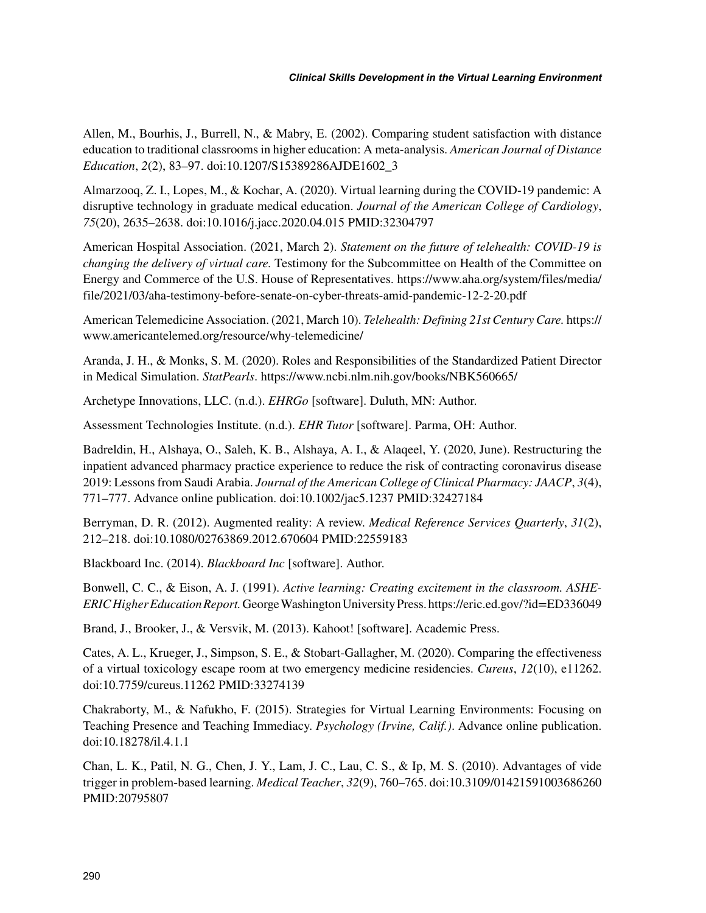Allen, M., Bourhis, J., Burrell, N., & Mabry, E. (2002). Comparing student satisfaction with distance education to traditional classrooms in higher education: A meta-analysis. *American Journal of Distance Education*, *2*(2), 83–97. doi:10.1207/S15389286AJDE1602\_3

Almarzooq, Z. I., Lopes, M., & Kochar, A. (2020). Virtual learning during the COVID-19 pandemic: A disruptive technology in graduate medical education. *Journal of the American College of Cardiology*, *75*(20), 2635–2638. doi:10.1016/j.jacc.2020.04.015 PMID:32304797

American Hospital Association. (2021, March 2). *Statement on the future of telehealth: COVID-19 is changing the delivery of virtual care.* Testimony for the Subcommittee on Health of the Committee on Energy and Commerce of the U.S. House of Representatives. [https://www.aha.org/system/files/media/](https://www.aha.org/system/files/media/file/2021/03/aha-testimony-before-senate-on-cyber-threats-amid-pandemic-12-2-20.pdf) [file/2021/03/aha-testimony-before-senate-on-cyber-threats-amid-pandemic-12-2-20.pdf](https://www.aha.org/system/files/media/file/2021/03/aha-testimony-before-senate-on-cyber-threats-amid-pandemic-12-2-20.pdf)

American Telemedicine Association. (2021, March 10). *Telehealth: Defining 21st Century Care.* [https://](https://www.americantelemed.org/resource/why-telemedicine/) [www.americantelemed.org/resource/why-telemedicine/](https://www.americantelemed.org/resource/why-telemedicine/)

Aranda, J. H., & Monks, S. M. (2020). Roles and Responsibilities of the Standardized Patient Director in Medical Simulation. *StatPearls*.<https://www.ncbi.nlm.nih.gov/books/NBK560665/>

Archetype Innovations, LLC. (n.d.). *EHRGo* [software]. Duluth, MN: Author.

Assessment Technologies Institute. (n.d.). *EHR Tutor* [software]. Parma, OH: Author.

Badreldin, H., Alshaya, O., Saleh, K. B., Alshaya, A. I., & Alaqeel, Y. (2020, June). Restructuring the inpatient advanced pharmacy practice experience to reduce the risk of contracting coronavirus disease 2019: Lessons from Saudi Arabia. *Journal of the American College of Clinical Pharmacy: JAACP*, *3*(4), 771–777. Advance online publication. doi:10.1002/jac5.1237 PMID:32427184

Berryman, D. R. (2012). Augmented reality: A review. *Medical Reference Services Quarterly*, *31*(2), 212–218. doi:10.1080/02763869.2012.670604 PMID:22559183

Blackboard Inc. (2014). *Blackboard Inc* [software]. Author.

Bonwell, C. C., & Eison, A. J. (1991). *Active learning: Creating excitement in the classroom. ASHE-ERIC Higher Education Report.* George Washington University Press.<https://eric.ed.gov/?id=ED336049>

Brand, J., Brooker, J., & Versvik, M. (2013). Kahoot! [software]. Academic Press.

Cates, A. L., Krueger, J., Simpson, S. E., & Stobart-Gallagher, M. (2020). Comparing the effectiveness of a virtual toxicology escape room at two emergency medicine residencies. *Cureus*, *12*(10), e11262. doi:10.7759/cureus.11262 PMID:33274139

Chakraborty, M., & Nafukho, F. (2015). Strategies for Virtual Learning Environments: Focusing on Teaching Presence and Teaching Immediacy. *Psychology (Irvine, Calif.)*. Advance online publication. doi:10.18278/il.4.1.1

Chan, L. K., Patil, N. G., Chen, J. Y., Lam, J. C., Lau, C. S., & Ip, M. S. (2010). Advantages of vide trigger in problem-based learning. *Medical Teacher*, *32*(9), 760–765. doi:10.3109/01421591003686260 PMID:20795807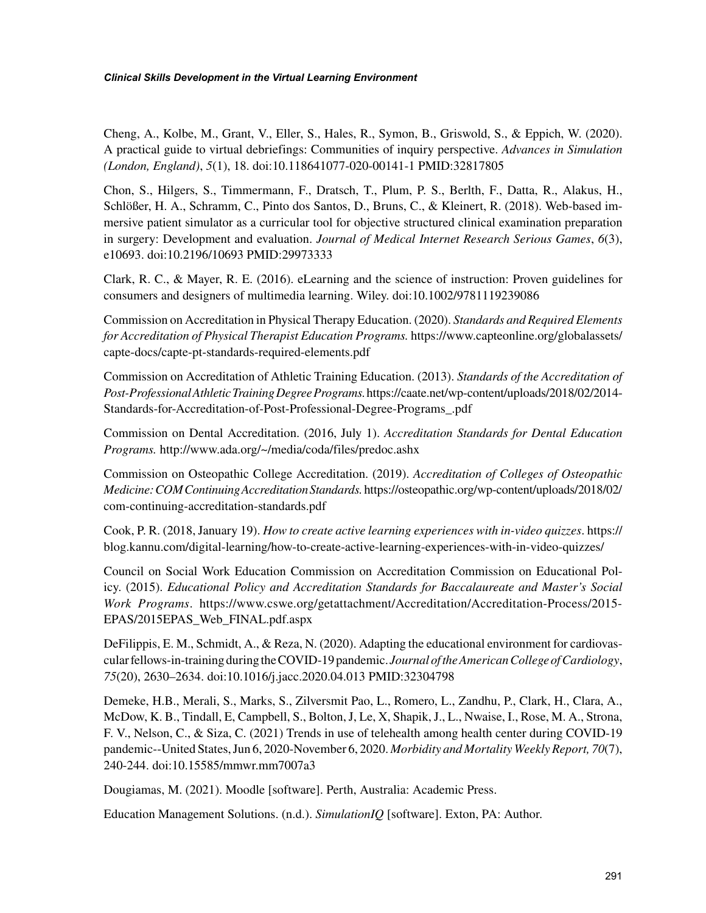Cheng, A., Kolbe, M., Grant, V., Eller, S., Hales, R., Symon, B., Griswold, S., & Eppich, W. (2020). A practical guide to virtual debriefings: Communities of inquiry perspective. *Advances in Simulation (London, England)*, *5*(1), 18. doi:10.118641077-020-00141-1 PMID:32817805

Chon, S., Hilgers, S., Timmermann, F., Dratsch, T., Plum, P. S., Berlth, F., Datta, R., Alakus, H., Schlößer, H. A., Schramm, C., Pinto dos Santos, D., Bruns, C., & Kleinert, R. (2018). Web-based immersive patient simulator as a curricular tool for objective structured clinical examination preparation in surgery: Development and evaluation. *Journal of Medical Internet Research Serious Games*, *6*(3), e10693. doi:10.2196/10693 PMID:29973333

Clark, R. C., & Mayer, R. E. (2016). eLearning and the science of instruction: Proven guidelines for consumers and designers of multimedia learning. Wiley. doi:10.1002/9781119239086

Commission on Accreditation in Physical Therapy Education. (2020). *Standards and Required Elements for Accreditation of Physical Therapist Education Programs.* [https://www.capteonline.org/globalassets/](https://www.capteonline.org/globalassets/capte-docs/capte-pt-standards-required-elements.pdf) [capte-docs/capte-pt-standards-required-elements.pdf](https://www.capteonline.org/globalassets/capte-docs/capte-pt-standards-required-elements.pdf)

Commission on Accreditation of Athletic Training Education. (2013). *Standards of the Accreditation of Post-Professional Athletic Training Degree Programs.* [https://caate.net/wp-content/uploads/2018/02/2014-](https://caate.net/wp-content/uploads/2018/02/2014-Standards-for-Accreditation-of-Post-Professional-Degree-Programs_.pdf) [Standards-for-Accreditation-of-Post-Professional-Degree-Programs\\_.pdf](https://caate.net/wp-content/uploads/2018/02/2014-Standards-for-Accreditation-of-Post-Professional-Degree-Programs_.pdf)

Commission on Dental Accreditation. (2016, July 1). *Accreditation Standards for Dental Education Programs.* <http://www.ada.org/~/media/coda/files/predoc.ashx>

Commission on Osteopathic College Accreditation. (2019). *Accreditation of Colleges of Osteopathic Medicine: COM Continuing Accreditation Standards.* [https://osteopathic.org/wp-content/uploads/2018/02/](https://osteopathic.org/wp-content/uploads/2018/02/com-continuing-accreditation-standards.pdf) [com-continuing-accreditation-standards.pdf](https://osteopathic.org/wp-content/uploads/2018/02/com-continuing-accreditation-standards.pdf)

Cook, P. R. (2018, January 19). *How to create active learning experiences with in-video quizzes*. [https://](https://blog.kannu.com/digital-learning/how-to-create-active-learning-experiences-with-in-video-quizzes/) [blog.kannu.com/digital-learning/how-to-create-active-learning-experiences-with-in-video-quizzes/](https://blog.kannu.com/digital-learning/how-to-create-active-learning-experiences-with-in-video-quizzes/)

Council on Social Work Education Commission on Accreditation Commission on Educational Policy. (2015). *Educational Policy and Accreditation Standards for Baccalaureate and Master's Social Work Programs*. [https://www.cswe.org/getattachment/Accreditation/Accreditation-Process/2015-](https://www.cswe.org/getattachment/Accreditation/Accreditation-Process/2015-EPAS/2015EPAS_Web_FINAL.pdf.aspx) [EPAS/2015EPAS\\_Web\\_FINAL.pdf.aspx](https://www.cswe.org/getattachment/Accreditation/Accreditation-Process/2015-EPAS/2015EPAS_Web_FINAL.pdf.aspx)

DeFilippis, E. M., Schmidt, A., & Reza, N. (2020). Adapting the educational environment for cardiovascular fellows-in-training during the COVID-19 pandemic. *Journal of the American College of Cardiology*, *75*(20), 2630–2634. doi:10.1016/j.jacc.2020.04.013 PMID:32304798

Demeke, H.B., Merali, S., Marks, S., Zilversmit Pao, L., Romero, L., Zandhu, P., Clark, H., Clara, A., McDow, K. B., Tindall, E, Campbell, S., Bolton, J, Le, X, Shapik, J., L., Nwaise, I., Rose, M. A., Strona, F. V., Nelson, C., & Siza, C. (2021) Trends in use of telehealth among health center during COVID-19 pandemic--United States, Jun 6, 2020-November 6, 2020. *Morbidity and Mortality Weekly Report, 70*(7), 240-244. doi:10.15585/mmwr.mm7007a3

Dougiamas, M. (2021). Moodle [software]. Perth, Australia: Academic Press.

Education Management Solutions. (n.d.). *SimulationIQ* [software]. Exton, PA: Author.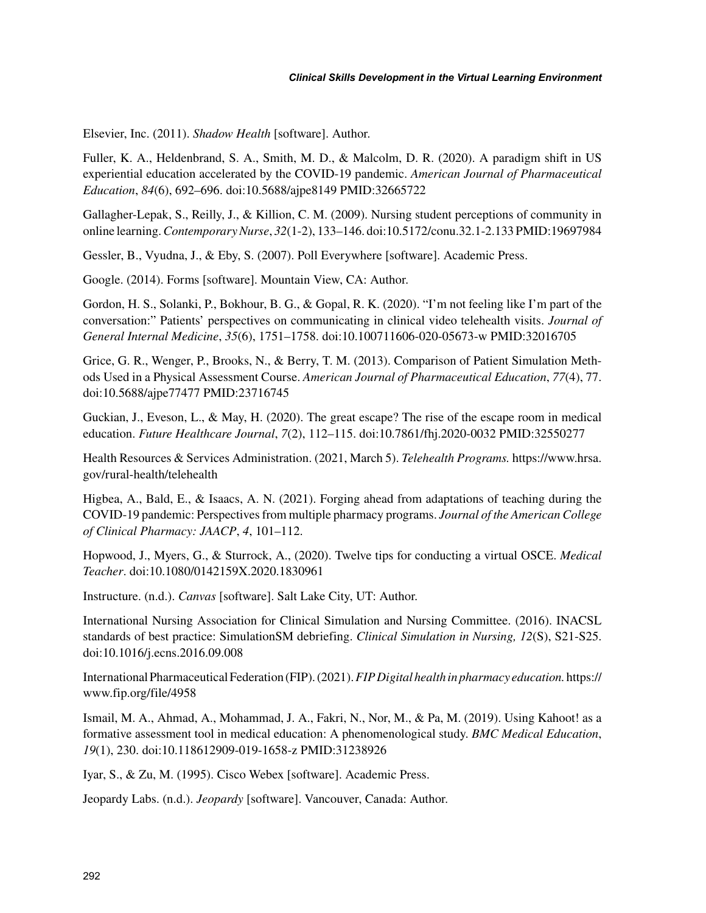Elsevier, Inc. (2011). *Shadow Health* [software]. Author.

Fuller, K. A., Heldenbrand, S. A., Smith, M. D., & Malcolm, D. R. (2020). A paradigm shift in US experiential education accelerated by the COVID-19 pandemic. *American Journal of Pharmaceutical Education*, *84*(6), 692–696. doi:10.5688/ajpe8149 PMID:32665722

Gallagher-Lepak, S., Reilly, J., & Killion, C. M. (2009). Nursing student perceptions of community in online learning. *Contemporary Nurse*, *32*(1-2), 133–146. doi:10.5172/conu.32.1-2.133 PMID:19697984

Gessler, B., Vyudna, J., & Eby, S. (2007). Poll Everywhere [software]. Academic Press.

Google. (2014). Forms [software]. Mountain View, CA: Author.

Gordon, H. S., Solanki, P., Bokhour, B. G., & Gopal, R. K. (2020). "I'm not feeling like I'm part of the conversation:" Patients' perspectives on communicating in clinical video telehealth visits. *Journal of General Internal Medicine*, *35*(6), 1751–1758. doi:10.100711606-020-05673-w PMID:32016705

Grice, G. R., Wenger, P., Brooks, N., & Berry, T. M. (2013). Comparison of Patient Simulation Methods Used in a Physical Assessment Course. *American Journal of Pharmaceutical Education*, *77*(4), 77. doi:10.5688/ajpe77477 PMID:23716745

Guckian, J., Eveson, L., & May, H. (2020). The great escape? The rise of the escape room in medical education. *Future Healthcare Journal*, *7*(2), 112–115. doi:10.7861/fhj.2020-0032 PMID:32550277

Health Resources & Services Administration. (2021, March 5). *Telehealth Programs.* [https://www.hrsa.](https://www.hrsa.gov/rural-health/telehealth) [gov/rural-health/telehealth](https://www.hrsa.gov/rural-health/telehealth)

Higbea, A., Bald, E., & Isaacs, A. N. (2021). Forging ahead from adaptations of teaching during the COVID-19 pandemic: Perspectives from multiple pharmacy programs. *Journal of the American College of Clinical Pharmacy: JAACP*, *4*, 101–112.

Hopwood, J., Myers, G., & Sturrock, A., (2020). Twelve tips for conducting a virtual OSCE. *Medical Teacher*. doi:10.1080/0142159X.2020.1830961

Instructure. (n.d.). *Canvas* [software]. Salt Lake City, UT: Author.

International Nursing Association for Clinical Simulation and Nursing Committee. (2016). INACSL standards of best practice: SimulationSM debriefing. *Clinical Simulation in Nursing, 12*(S), S21-S25. doi:10.1016/j.ecns.2016.09.008

International Pharmaceutical Federation (FIP). (2021). *FIP Digital health in pharmacy education.* [https://](https://www.fip.org/file/4958) [www.fip.org/file/4958](https://www.fip.org/file/4958)

Ismail, M. A., Ahmad, A., Mohammad, J. A., Fakri, N., Nor, M., & Pa, M. (2019). Using Kahoot! as a formative assessment tool in medical education: A phenomenological study. *BMC Medical Education*, *19*(1), 230. doi:10.118612909-019-1658-z PMID:31238926

Iyar, S., & Zu, M. (1995). Cisco Webex [software]. Academic Press.

Jeopardy Labs. (n.d.). *Jeopardy* [software]. Vancouver, Canada: Author.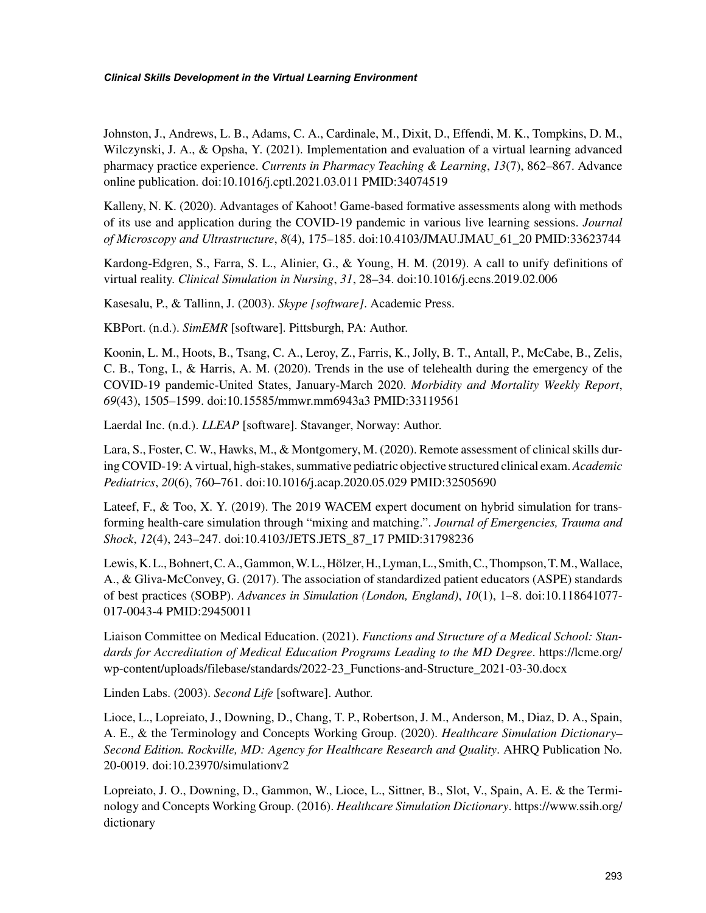Johnston, J., Andrews, L. B., Adams, C. A., Cardinale, M., Dixit, D., Effendi, M. K., Tompkins, D. M., Wilczynski, J. A., & Opsha, Y. (2021). Implementation and evaluation of a virtual learning advanced pharmacy practice experience. *Currents in Pharmacy Teaching & Learning*, *13*(7), 862–867. Advance online publication. doi:10.1016/j.cptl.2021.03.011 PMID:34074519

Kalleny, N. K. (2020). Advantages of Kahoot! Game-based formative assessments along with methods of its use and application during the COVID-19 pandemic in various live learning sessions. *Journal of Microscopy and Ultrastructure*, *8*(4), 175–185. doi:10.4103/JMAU.JMAU\_61\_20 PMID:33623744

Kardong-Edgren, S., Farra, S. L., Alinier, G., & Young, H. M. (2019). A call to unify definitions of virtual reality. *Clinical Simulation in Nursing*, *31*, 28–34. doi:10.1016/j.ecns.2019.02.006

Kasesalu, P., & Tallinn, J. (2003). *Skype [software]*. Academic Press.

KBPort. (n.d.). *SimEMR* [software]. Pittsburgh, PA: Author.

Koonin, L. M., Hoots, B., Tsang, C. A., Leroy, Z., Farris, K., Jolly, B. T., Antall, P., McCabe, B., Zelis, C. B., Tong, I., & Harris, A. M. (2020). Trends in the use of telehealth during the emergency of the COVID-19 pandemic-United States, January-March 2020. *Morbidity and Mortality Weekly Report*, *69*(43), 1505–1599. doi:10.15585/mmwr.mm6943a3 PMID:33119561

Laerdal Inc. (n.d.). *LLEAP* [software]. Stavanger, Norway: Author.

Lara, S., Foster, C. W., Hawks, M., & Montgomery, M. (2020). Remote assessment of clinical skills during COVID-19: A virtual, high-stakes, summative pediatric objective structured clinical exam. *Academic Pediatrics*, *20*(6), 760–761. doi:10.1016/j.acap.2020.05.029 PMID:32505690

Lateef, F., & Too, X. Y. (2019). The 2019 WACEM expert document on hybrid simulation for transforming health-care simulation through "mixing and matching.". *Journal of Emergencies, Trauma and Shock*, *12*(4), 243–247. doi:10.4103/JETS.JETS\_87\_17 PMID:31798236

Lewis, K. L., Bohnert, C. A., Gammon, W. L., Hölzer, H., Lyman, L., Smith, C., Thompson, T. M., Wallace, A., & Gliva-McConvey, G. (2017). The association of standardized patient educators (ASPE) standards of best practices (SOBP). *Advances in Simulation (London, England)*, *10*(1), 1–8. doi:10.118641077- 017-0043-4 PMID:29450011

Liaison Committee on Medical Education. (2021). *Functions and Structure of a Medical School: Standards for Accreditation of Medical Education Programs Leading to the MD Degree*. [https://lcme.org/](https://lcme.org/wp-content/uploads/filebase/standards/2022-23_Functions-and-Structure_2021-03-30.docx) [wp-content/uploads/filebase/standards/2022-23\\_Functions-and-Structure\\_2021-03-30.docx](https://lcme.org/wp-content/uploads/filebase/standards/2022-23_Functions-and-Structure_2021-03-30.docx)

Linden Labs. (2003). *Second Life* [software]. Author.

Lioce, L., Lopreiato, J., Downing, D., Chang, T. P., Robertson, J. M., Anderson, M., Diaz, D. A., Spain, A. E., & the Terminology and Concepts Working Group. (2020). *Healthcare Simulation Dictionary– Second Edition. Rockville, MD: Agency for Healthcare Research and Quality*. AHRQ Publication No. 20-0019. doi:10.23970/simulationv2

Lopreiato, J. O., Downing, D., Gammon, W., Lioce, L., Sittner, B., Slot, V., Spain, A. E. & the Terminology and Concepts Working Group. (2016). *Healthcare Simulation Dictionary*. [https://www.ssih.org/](https://www.ssih.org/dictionary) [dictionary](https://www.ssih.org/dictionary)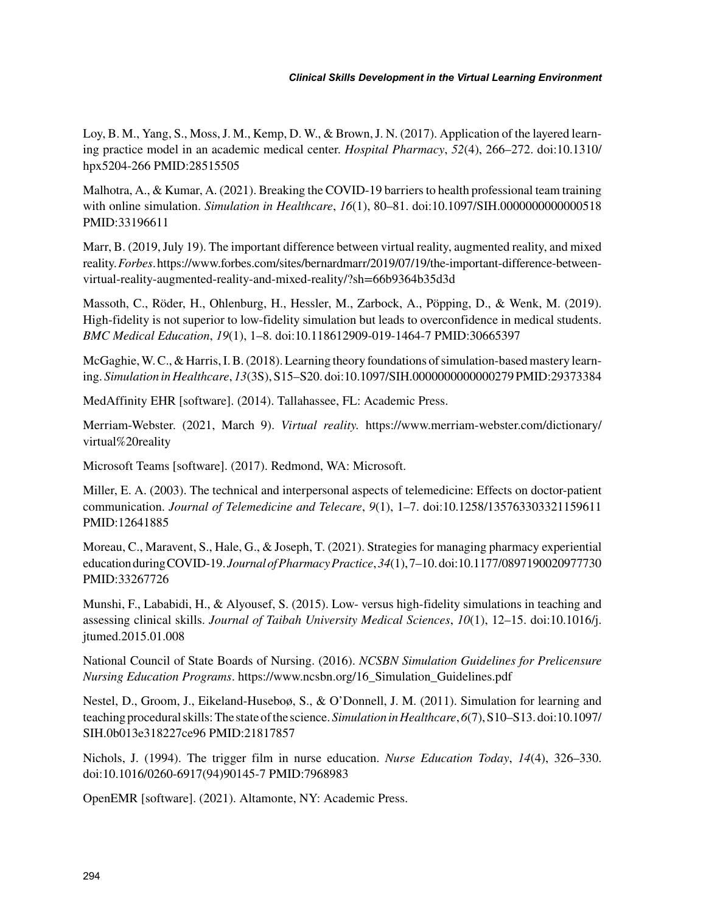Loy, B. M., Yang, S., Moss, J. M., Kemp, D. W., & Brown, J. N. (2017). Application of the layered learning practice model in an academic medical center. *Hospital Pharmacy*, *52*(4), 266–272. doi:10.1310/ hpx5204-266 PMID:28515505

Malhotra, A., & Kumar, A. (2021). Breaking the COVID-19 barriers to health professional team training with online simulation. *Simulation in Healthcare*, *16*(1), 80–81. doi:10.1097/SIH.0000000000000518 PMID:33196611

Marr, B. (2019, July 19). The important difference between virtual reality, augmented reality, and mixed reality. *Forbes*. [https://www.forbes.com/sites/bernardmarr/2019/07/19/the-important-difference-between](https://www.forbes.com/sites/bernardmarr/2019/07/19/the-important-difference-between-virtual-reality-augmented-reality-and-mixed-reality/?sh=66b9364b35d3d)[virtual-reality-augmented-reality-and-mixed-reality/?sh=66b9364b35d3d](https://www.forbes.com/sites/bernardmarr/2019/07/19/the-important-difference-between-virtual-reality-augmented-reality-and-mixed-reality/?sh=66b9364b35d3d)

Massoth, C., Röder, H., Ohlenburg, H., Hessler, M., Zarbock, A., Pöpping, D., & Wenk, M. (2019). High-fidelity is not superior to low-fidelity simulation but leads to overconfidence in medical students. *BMC Medical Education*, *19*(1), 1–8. doi:10.118612909-019-1464-7 PMID:30665397

McGaghie, W. C., & Harris, I. B. (2018). Learning theory foundations of simulation-based mastery learning. *Simulation in Healthcare*, *13*(3S), S15–S20. doi:10.1097/SIH.0000000000000279 PMID:29373384

MedAffinity EHR [software]. (2014). Tallahassee, FL: Academic Press.

Merriam-Webster. (2021, March 9). *Virtual reality.* [https://www.merriam-webster.com/dictionary/](https://www.merriam-webster.com/dictionary/virtual%20reality) [virtual%20reality](https://www.merriam-webster.com/dictionary/virtual%20reality)

Microsoft Teams [software]. (2017). Redmond, WA: Microsoft.

Miller, E. A. (2003). The technical and interpersonal aspects of telemedicine: Effects on doctor-patient communication. *Journal of Telemedicine and Telecare*, *9*(1), 1–7. doi:10.1258/135763303321159611 PMID:12641885

Moreau, C., Maravent, S., Hale, G., & Joseph, T. (2021). Strategies for managing pharmacy experiential education during COVID-19. *Journal of Pharmacy Practice*, *34*(1), 7–10. doi:10.1177/0897190020977730 PMID:33267726

Munshi, F., Lababidi, H., & Alyousef, S. (2015). Low- versus high-fidelity simulations in teaching and assessing clinical skills. *Journal of Taibah University Medical Sciences*, *10*(1), 12–15. doi:10.1016/j. jtumed.2015.01.008

National Council of State Boards of Nursing. (2016). *NCSBN Simulation Guidelines for Prelicensure Nursing Education Programs*. [https://www.ncsbn.org/16\\_Simulation\\_Guidelines.pdf](https://www.ncsbn.org/16_Simulation_Guidelines.pdf)

Nestel, D., Groom, J., Eikeland-Huseboø, S., & O'Donnell, J. M. (2011). Simulation for learning and teaching procedural skills: The state of the science. *Simulation in Healthcare*, *6*(7), S10–S13. doi:10.1097/ SIH.0b013e318227ce96 PMID:21817857

Nichols, J. (1994). The trigger film in nurse education. *Nurse Education Today*, *14*(4), 326–330. doi:10.1016/0260-6917(94)90145-7 PMID:7968983

OpenEMR [software]. (2021). Altamonte, NY: Academic Press.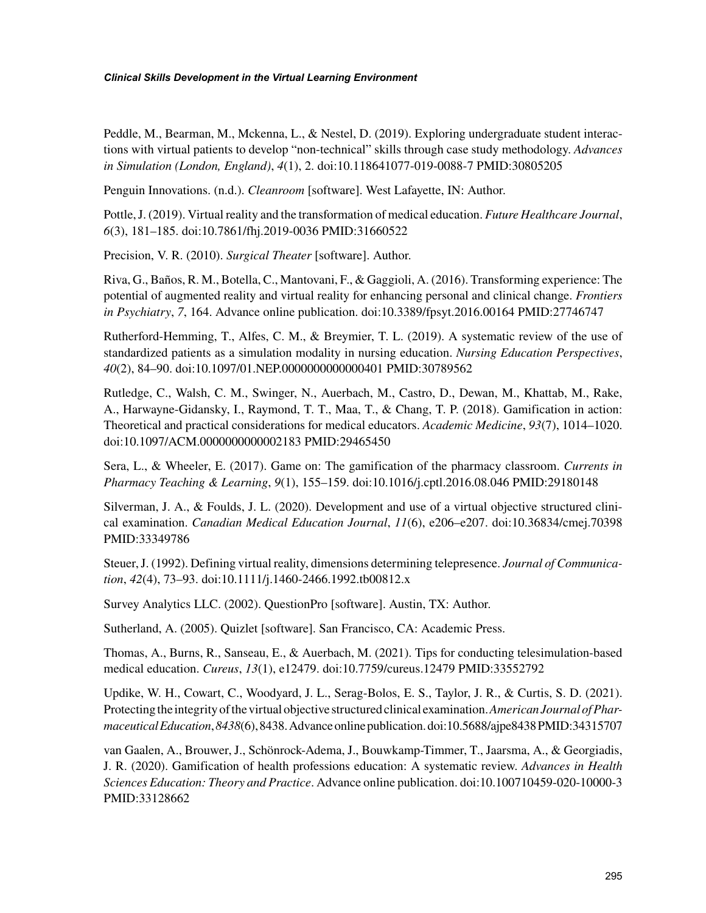Peddle, M., Bearman, M., Mckenna, L., & Nestel, D. (2019). Exploring undergraduate student interactions with virtual patients to develop "non-technical" skills through case study methodology. *Advances in Simulation (London, England)*, *4*(1), 2. doi:10.118641077-019-0088-7 PMID:30805205

Penguin Innovations. (n.d.). *Cleanroom* [software]. West Lafayette, IN: Author.

Pottle, J. (2019). Virtual reality and the transformation of medical education. *Future Healthcare Journal*, *6*(3), 181–185. doi:10.7861/fhj.2019-0036 PMID:31660522

Precision, V. R. (2010). *Surgical Theater* [software]. Author.

Riva, G., Baños, R. M., Botella, C., Mantovani, F., & Gaggioli, A. (2016). Transforming experience: The potential of augmented reality and virtual reality for enhancing personal and clinical change. *Frontiers in Psychiatry*, *7*, 164. Advance online publication. doi:10.3389/fpsyt.2016.00164 PMID:27746747

Rutherford-Hemming, T., Alfes, C. M., & Breymier, T. L. (2019). A systematic review of the use of standardized patients as a simulation modality in nursing education. *Nursing Education Perspectives*, *40*(2), 84–90. doi:10.1097/01.NEP.0000000000000401 PMID:30789562

Rutledge, C., Walsh, C. M., Swinger, N., Auerbach, M., Castro, D., Dewan, M., Khattab, M., Rake, A., Harwayne-Gidansky, I., Raymond, T. T., Maa, T., & Chang, T. P. (2018). Gamification in action: Theoretical and practical considerations for medical educators. *Academic Medicine*, *93*(7), 1014–1020. doi:10.1097/ACM.0000000000002183 PMID:29465450

Sera, L., & Wheeler, E. (2017). Game on: The gamification of the pharmacy classroom. *Currents in Pharmacy Teaching & Learning*, *9*(1), 155–159. doi:10.1016/j.cptl.2016.08.046 PMID:29180148

Silverman, J. A., & Foulds, J. L. (2020). Development and use of a virtual objective structured clinical examination. *Canadian Medical Education Journal*, *11*(6), e206–e207. doi:10.36834/cmej.70398 PMID:33349786

Steuer, J. (1992). Defining virtual reality, dimensions determining telepresence. *Journal of Communication*, *42*(4), 73–93. doi:10.1111/j.1460-2466.1992.tb00812.x

Survey Analytics LLC. (2002). QuestionPro [software]. Austin, TX: Author.

Sutherland, A. (2005). Quizlet [software]. San Francisco, CA: Academic Press.

Thomas, A., Burns, R., Sanseau, E., & Auerbach, M. (2021). Tips for conducting telesimulation-based medical education. *Cureus*, *13*(1), e12479. doi:10.7759/cureus.12479 PMID:33552792

Updike, W. H., Cowart, C., Woodyard, J. L., Serag-Bolos, E. S., Taylor, J. R., & Curtis, S. D. (2021). Protecting the integrity of the virtual objective structured clinical examination. *American Journal of Pharmaceutical Education*, *8438*(6), 8438. Advance online publication. doi:10.5688/ajpe8438 PMID:34315707

van Gaalen, A., Brouwer, J., Schönrock-Adema, J., Bouwkamp-Timmer, T., Jaarsma, A., & Georgiadis, J. R. (2020). Gamification of health professions education: A systematic review. *Advances in Health Sciences Education: Theory and Practice*. Advance online publication. doi:10.100710459-020-10000-3 PMID:33128662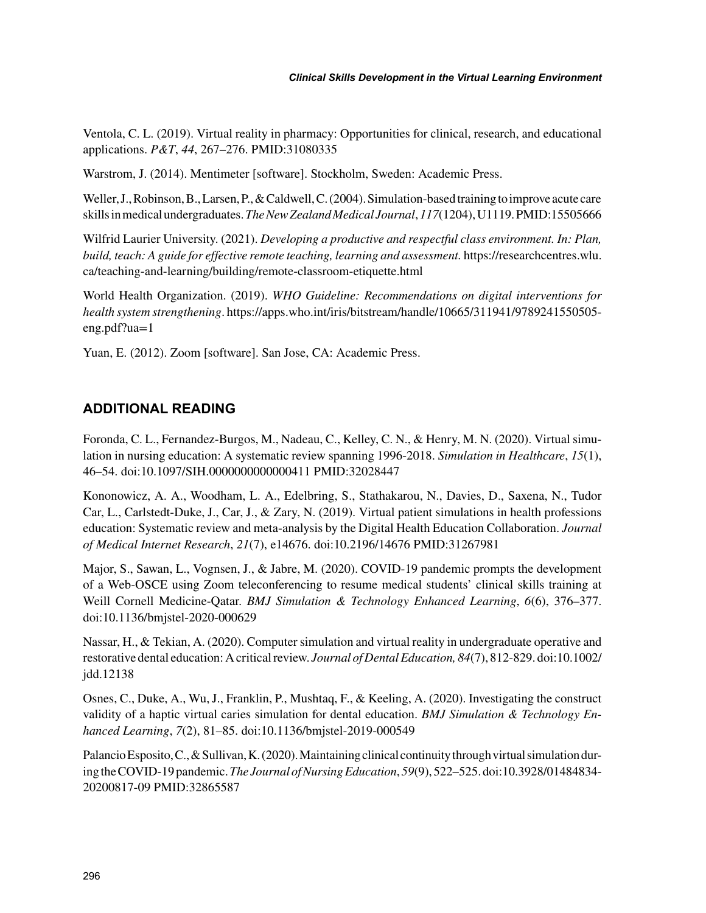Ventola, C. L. (2019). Virtual reality in pharmacy: Opportunities for clinical, research, and educational applications. *P&T*, *44*, 267–276. PMID:31080335

Warstrom, J. (2014). Mentimeter [software]. Stockholm, Sweden: Academic Press.

Weller, J., Robinson, B., Larsen, P., & Caldwell, C. (2004). Simulation-based training to improve acute care skills in medical undergraduates. *The New Zealand Medical Journal*, *117*(1204), U1119. PMID:15505666

Wilfrid Laurier University. (2021). *Developing a productive and respectful class environment. In: Plan, build, teach: A guide for effective remote teaching, learning and assessment.* [https://researchcentres.wlu.](https://researchcentres.wlu.ca/teaching-and-learning/building/remote-classroom-etiquette.html) [ca/teaching-and-learning/building/remote-classroom-etiquette.html](https://researchcentres.wlu.ca/teaching-and-learning/building/remote-classroom-etiquette.html)

World Health Organization. (2019). *WHO Guideline: Recommendations on digital interventions for health system strengthening*. [https://apps.who.int/iris/bitstream/handle/10665/311941/9789241550505](https://apps.who.int/iris/bitstream/handle/10665/311941/9789241550505-eng.pdf?ua=1) [eng.pdf?ua=1](https://apps.who.int/iris/bitstream/handle/10665/311941/9789241550505-eng.pdf?ua=1)

Yuan, E. (2012). Zoom [software]. San Jose, CA: Academic Press.

# **ADDITIONAL READING**

Foronda, C. L., Fernandez-Burgos, M., Nadeau, C., Kelley, C. N., & Henry, M. N. (2020). Virtual simulation in nursing education: A systematic review spanning 1996-2018. *Simulation in Healthcare*, *15*(1), 46–54. doi:10.1097/SIH.0000000000000411 PMID:32028447

Kononowicz, A. A., Woodham, L. A., Edelbring, S., Stathakarou, N., Davies, D., Saxena, N., Tudor Car, L., Carlstedt-Duke, J., Car, J., & Zary, N. (2019). Virtual patient simulations in health professions education: Systematic review and meta-analysis by the Digital Health Education Collaboration. *Journal of Medical Internet Research*, *21*(7), e14676. doi:10.2196/14676 PMID:31267981

Major, S., Sawan, L., Vognsen, J., & Jabre, M. (2020). COVID-19 pandemic prompts the development of a Web-OSCE using Zoom teleconferencing to resume medical students' clinical skills training at Weill Cornell Medicine-Qatar. *BMJ Simulation & Technology Enhanced Learning*, *6*(6), 376–377. doi:10.1136/bmjstel-2020-000629

Nassar, H., & Tekian, A. (2020). Computer simulation and virtual reality in undergraduate operative and restorative dental education: A critical review. *Journal of Dental Education, 84*(7), 812-829. doi:10.1002/ jdd.12138

Osnes, C., Duke, A., Wu, J., Franklin, P., Mushtaq, F., & Keeling, A. (2020). Investigating the construct validity of a haptic virtual caries simulation for dental education. *BMJ Simulation & Technology Enhanced Learning*, *7*(2), 81–85. doi:10.1136/bmjstel-2019-000549

Palancio Esposito, C., & Sullivan, K. (2020). Maintaining clinical continuity through virtual simulation during the COVID-19 pandemic. *The Journal of Nursing Education*, *59*(9), 522–525. doi:10.3928/01484834- 20200817-09 PMID:32865587